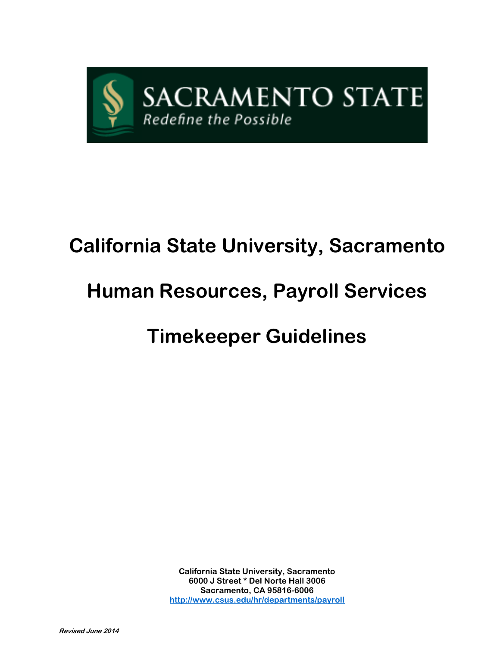

# **California State University, Sacramento**

# **Human Resources, Payroll Services**

# **Timekeeper Guidelines**

**California State University, Sacramento 6000 J Street \* Del Norte Hall 3006 Sacramento, CA 95816-6006 <http://www.csus.edu/hr/departments/payroll>**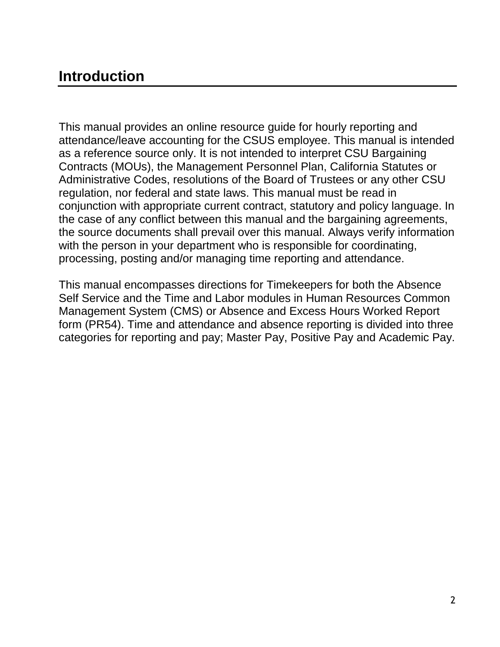# **Introduction**

This manual provides an online resource guide for hourly reporting and attendance/leave accounting for the CSUS employee. This manual is intended as a reference source only. It is not intended to interpret CSU Bargaining Contracts (MOUs), the Management Personnel Plan, California Statutes or Administrative Codes, resolutions of the Board of Trustees or any other CSU regulation, nor federal and state laws. This manual must be read in conjunction with appropriate current contract, statutory and policy language. In the case of any conflict between this manual and the bargaining agreements, the source documents shall prevail over this manual. Always verify information with the person in your department who is responsible for coordinating, processing, posting and/or managing time reporting and attendance.

This manual encompasses directions for Timekeepers for both the Absence Self Service and the Time and Labor modules in Human Resources Common Management System (CMS) or Absence and Excess Hours Worked Report form (PR54). Time and attendance and absence reporting is divided into three categories for reporting and pay; Master Pay, Positive Pay and Academic Pay.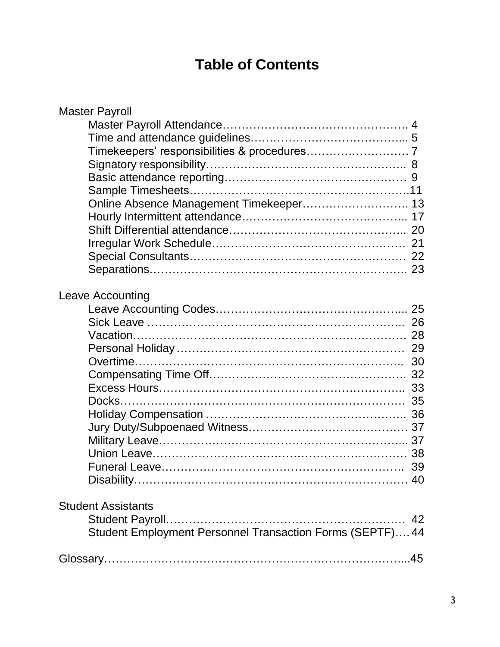# **Table of Contents**

| <b>Master Payroll</b>                                     |  |
|-----------------------------------------------------------|--|
|                                                           |  |
|                                                           |  |
|                                                           |  |
|                                                           |  |
|                                                           |  |
|                                                           |  |
| Online Absence Management Timekeeper 13                   |  |
|                                                           |  |
|                                                           |  |
|                                                           |  |
|                                                           |  |
|                                                           |  |
|                                                           |  |
| Leave Accounting                                          |  |
|                                                           |  |
|                                                           |  |
|                                                           |  |
|                                                           |  |
|                                                           |  |
|                                                           |  |
|                                                           |  |
|                                                           |  |
|                                                           |  |
|                                                           |  |
|                                                           |  |
|                                                           |  |
|                                                           |  |
|                                                           |  |
|                                                           |  |
| <b>Student Assistants</b>                                 |  |
|                                                           |  |
| Student Employment Personnel Transaction Forms (SEPTF) 44 |  |
|                                                           |  |
|                                                           |  |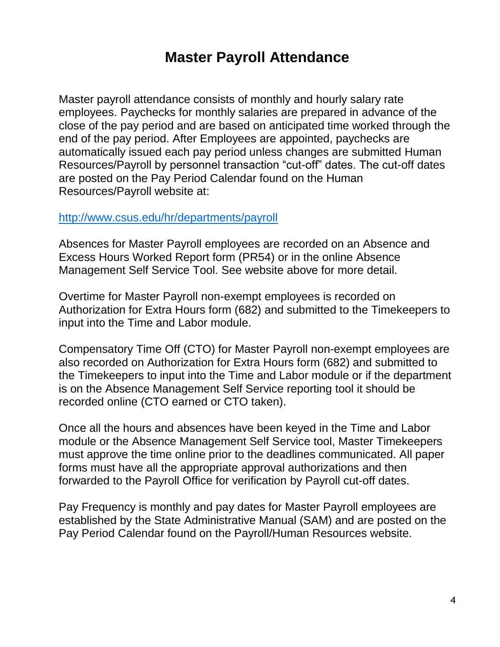# **Master Payroll Attendance**

Master payroll attendance consists of monthly and hourly salary rate employees. Paychecks for monthly salaries are prepared in advance of the close of the pay period and are based on anticipated time worked through the end of the pay period. After Employees are appointed, paychecks are automatically issued each pay period unless changes are submitted Human Resources/Payroll by personnel transaction "cut-off" dates. The cut-off dates are posted on the Pay Period Calendar found on the Human Resources/Payroll website at:

#### <http://www.csus.edu/hr/departments/payroll>

Absences for Master Payroll employees are recorded on an Absence and Excess Hours Worked Report form (PR54) or in the online Absence Management Self Service Tool. See website above for more detail.

Overtime for Master Payroll non-exempt employees is recorded on Authorization for Extra Hours form (682) and submitted to the Timekeepers to input into the Time and Labor module.

Compensatory Time Off (CTO) for Master Payroll non-exempt employees are also recorded on Authorization for Extra Hours form (682) and submitted to the Timekeepers to input into the Time and Labor module or if the department is on the Absence Management Self Service reporting tool it should be recorded online (CTO earned or CTO taken).

Once all the hours and absences have been keyed in the Time and Labor module or the Absence Management Self Service tool, Master Timekeepers must approve the time online prior to the deadlines communicated. All paper forms must have all the appropriate approval authorizations and then forwarded to the Payroll Office for verification by Payroll cut-off dates.

Pay Frequency is monthly and pay dates for Master Payroll employees are established by the State Administrative Manual (SAM) and are posted on the Pay Period Calendar found on the Payroll/Human Resources website.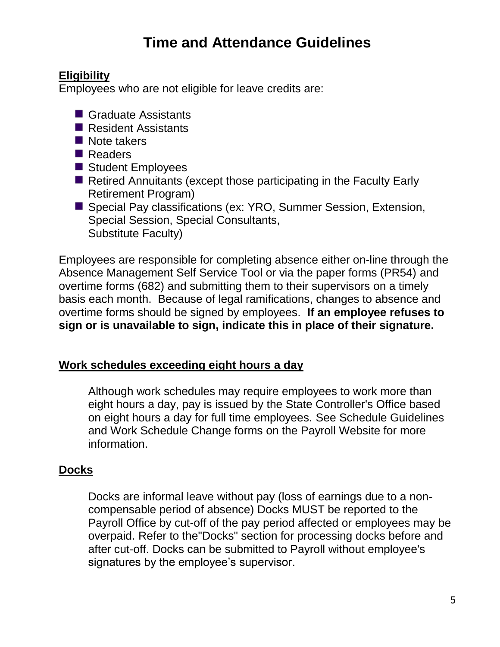# **Time and Attendance Guidelines**

### **Eligibility**

Employees who are not eligible for leave credits are:

- Graduate Assistants
- Resident Assistants
- Note takers
- Readers
- Student Employees
- Retired Annuitants (except those participating in the Faculty Early Retirement Program)
- Special Pay classifications (ex: YRO, Summer Session, Extension, Special Session, Special Consultants, Substitute Faculty)

Employees are responsible for completing absence either on-line through the Absence Management Self Service Tool or via the paper forms (PR54) and overtime forms (682) and submitting them to their supervisors on a timely basis each month. Because of legal ramifications, changes to absence and overtime forms should be signed by employees. **If an employee refuses to sign or is unavailable to sign, indicate this in place of their signature.**

# **Work schedules exceeding eight hours a day**

Although work schedules may require employees to work more than eight hours a day, pay is issued by the State Controller's Office based on eight hours a day for full time employees. See Schedule Guidelines and Work Schedule Change forms on the Payroll Website for more information.

# **Docks**

Docks are informal leave without pay (loss of earnings due to a noncompensable period of absence) Docks MUST be reported to the Payroll Office by cut-off of the pay period affected or employees may be overpaid. Refer to the"Docks" section for processing docks before and after cut-off. Docks can be submitted to Payroll without employee's signatures by the employee's supervisor.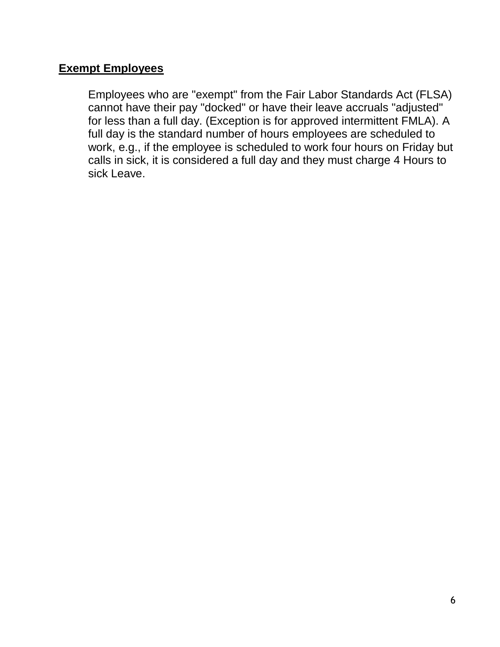### **Exempt Employees**

Employees who are "exempt" from the Fair Labor Standards Act (FLSA) cannot have their pay "docked" or have their leave accruals "adjusted" for less than a full day. (Exception is for approved intermittent FMLA). A full day is the standard number of hours employees are scheduled to work, e.g., if the employee is scheduled to work four hours on Friday but calls in sick, it is considered a full day and they must charge 4 Hours to sick Leave.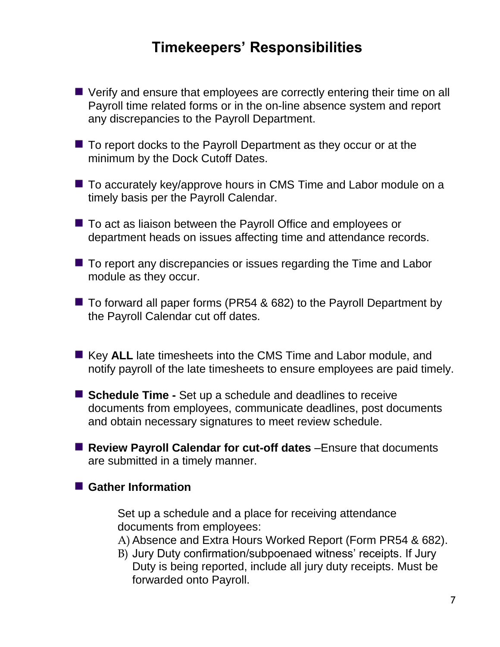# **Timekeepers' Responsibilities**

- Verify and ensure that employees are correctly entering their time on all Payroll time related forms or in the on-line absence system and report any discrepancies to the Payroll Department.
- $\blacksquare$  To report docks to the Payroll Department as they occur or at the minimum by the Dock Cutoff Dates.
- To accurately key/approve hours in CMS Time and Labor module on a timely basis per the Payroll Calendar.
- To act as liaison between the Payroll Office and employees or department heads on issues affecting time and attendance records.
- To report any discrepancies or issues regarding the Time and Labor module as they occur.
- $\blacksquare$  To forward all paper forms (PR54 & 682) to the Payroll Department by the Payroll Calendar cut off dates.
- Key **ALL** late timesheets into the CMS Time and Labor module, and notify payroll of the late timesheets to ensure employees are paid timely.
- **Schedule Time -** Set up a schedule and deadlines to receive documents from employees, communicate deadlines, post documents and obtain necessary signatures to meet review schedule.
- Review Payroll Calendar for cut-off dates –Ensure that documents are submitted in a timely manner.

#### **Gather Information**

Set up a schedule and a place for receiving attendance documents from employees:

- A) Absence and Extra Hours Worked Report (Form PR54 & 682).
- B) Jury Duty confirmation/subpoenaed witness' receipts. If Jury Duty is being reported, include all jury duty receipts. Must be forwarded onto Payroll.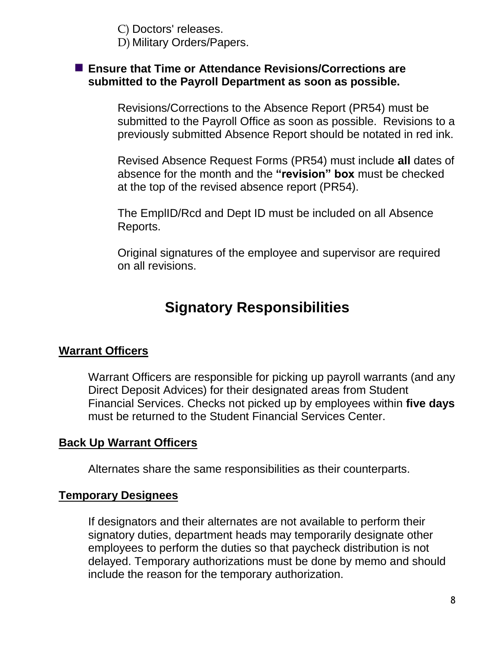C) Doctors' releases. D) Military Orders/Papers.

#### **Ensure that Time or Attendance Revisions/Corrections are submitted to the Payroll Department as soon as possible.**

Revisions/Corrections to the Absence Report (PR54) must be submitted to the Payroll Office as soon as possible. Revisions to a previously submitted Absence Report should be notated in red ink.

Revised Absence Request Forms (PR54) must include **all** dates of absence for the month and the **"revision" box** must be checked at the top of the revised absence report (PR54).

The EmplID/Rcd and Dept ID must be included on all Absence Reports.

Original signatures of the employee and supervisor are required on all revisions.

# **Signatory Responsibilities**

#### **Warrant Officers**

Warrant Officers are responsible for picking up payroll warrants (and any Direct Deposit Advices) for their designated areas from Student Financial Services. Checks not picked up by employees within **five days**  must be returned to the Student Financial Services Center.

#### **Back Up Warrant Officers**

Alternates share the same responsibilities as their counterparts.

#### **Temporary Designees**

If designators and their alternates are not available to perform their signatory duties, department heads may temporarily designate other employees to perform the duties so that paycheck distribution is not delayed. Temporary authorizations must be done by memo and should include the reason for the temporary authorization.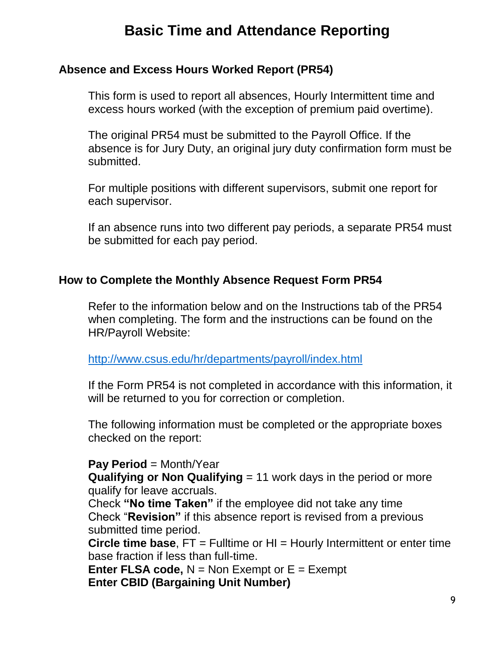# **Basic Time and Attendance Reporting**

### **Absence and Excess Hours Worked Report (PR54)**

This form is used to report all absences, Hourly Intermittent time and excess hours worked (with the exception of premium paid overtime).

The original PR54 must be submitted to the Payroll Office. If the absence is for Jury Duty, an original jury duty confirmation form must be submitted.

For multiple positions with different supervisors, submit one report for each supervisor.

If an absence runs into two different pay periods, a separate PR54 must be submitted for each pay period.

#### **How to Complete the Monthly Absence Request Form PR54**

Refer to the information below and on the Instructions tab of the PR54 when completing. The form and the instructions can be found on the HR/Payroll Website:

<http://www.csus.edu/hr/departments/payroll/index.html>

If the Form PR54 is not completed in accordance with this information, it will be returned to you for correction or completion.

The following information must be completed or the appropriate boxes checked on the report:

#### **Pay Period** = Month/Year

**Qualifying or Non Qualifying** = 11 work days in the period or more qualify for leave accruals.

Check **"No time Taken"** if the employee did not take any time Check "**Revision"** if this absence report is revised from a previous submitted time period.

**Circle time base**, FT = Fulltime or HI = Hourly Intermittent or enter time base fraction if less than full-time.

**Enter FLSA code,**  $N = N$ **on Exempt or**  $E = E$ **xempt Enter CBID (Bargaining Unit Number)**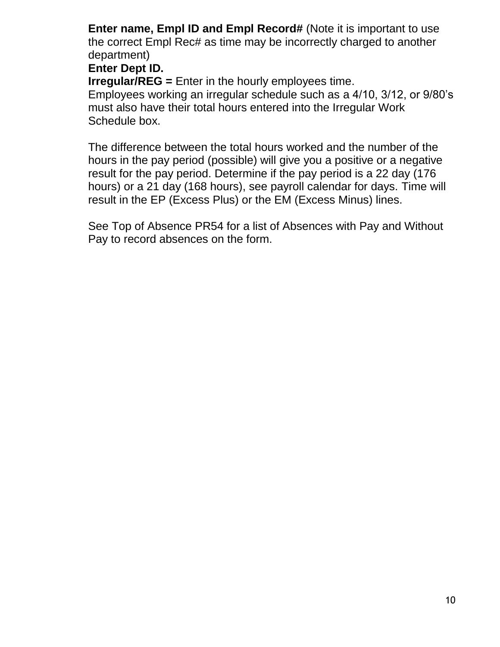**Enter name, Empl ID and Empl Record#** (Note it is important to use the correct Empl Rec# as time may be incorrectly charged to another department)

### **Enter Dept ID.**

**Irregular/REG =** Enter in the hourly employees time.

Employees working an irregular schedule such as a 4/10, 3/12, or 9/80's must also have their total hours entered into the Irregular Work Schedule box.

The difference between the total hours worked and the number of the hours in the pay period (possible) will give you a positive or a negative result for the pay period. Determine if the pay period is a 22 day (176 hours) or a 21 day (168 hours), see payroll calendar for days. Time will result in the EP (Excess Plus) or the EM (Excess Minus) lines.

See Top of Absence PR54 for a list of Absences with Pay and Without Pay to record absences on the form.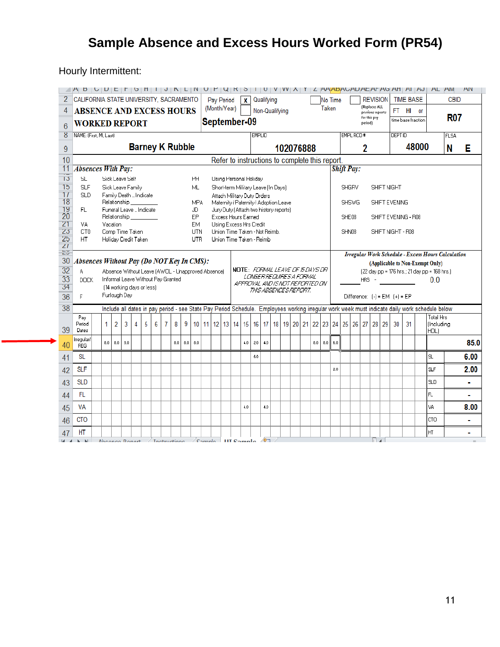# **Sample Absence and Excess Hours Worked Form (PR54)**

Hourly Intermittent:

|                                    | AH BUULE I GHIUJ NLINU PURSIUU VWA I LAAMADA WALAHAHAHAJ |                                                                                                                                                |     |   |   |   |   |                        |     |            |           |              |                                                                       |              |               |            |                                                          |           |                  |                                                |         |                   |              |            |                                                                          |               |                  |                    |                                              | AL AM                                              | <b>AIV</b> |
|------------------------------------|----------------------------------------------------------|------------------------------------------------------------------------------------------------------------------------------------------------|-----|---|---|---|---|------------------------|-----|------------|-----------|--------------|-----------------------------------------------------------------------|--------------|---------------|------------|----------------------------------------------------------|-----------|------------------|------------------------------------------------|---------|-------------------|--------------|------------|--------------------------------------------------------------------------|---------------|------------------|--------------------|----------------------------------------------|----------------------------------------------------|------------|
| 2                                  | CALIFORNIA STATE UNIVERSITY, SACRAMENTO                  |                                                                                                                                                |     |   |   |   |   |                        |     |            |           | Pay Period   |                                                                       | $\mathbf{x}$ |               | Qualifying |                                                          |           |                  |                                                | No Time |                   |              |            | <b>REVISION</b>                                                          |               | <b>TIME BASE</b> |                    |                                              | <b>CBID</b>                                        |            |
| 4                                  | <b>ABSENCE AND EXCESS HOURS</b>                          |                                                                                                                                                |     |   |   |   |   |                        |     |            |           | (Month/Year) |                                                                       |              |               |            | Non-Qualifying                                           |           |                  | Taken                                          |         |                   |              |            | (Replaces ALL<br>previous reports                                        |               | FT HI or         |                    |                                              |                                                    |            |
| 6                                  | <b>WORKED REPORT</b>                                     |                                                                                                                                                |     |   |   |   |   |                        |     |            |           |              | September-09                                                          |              |               |            |                                                          |           |                  |                                                |         |                   |              | period)    | for this pay                                                             |               |                  | time base fraction |                                              | <b>R07</b>                                         |            |
| 8                                  | NAME: (First, MI, Last)                                  |                                                                                                                                                |     |   |   |   |   |                        |     |            |           |              |                                                                       |              | <b>EMPLID</b> |            |                                                          |           |                  |                                                |         |                   | EMPL RCD #   |            |                                                                          | <b>DEPTID</b> |                  |                    |                                              | FLSA                                               |            |
| $\overline{9}$                     |                                                          |                                                                                                                                                |     |   |   |   |   | <b>Barney K Rubble</b> |     |            |           |              |                                                                       |              |               |            |                                                          | 102076888 |                  |                                                |         |                   |              | 2          |                                                                          |               |                  | 48000              |                                              | N                                                  | Е          |
| 10                                 |                                                          |                                                                                                                                                |     |   |   |   |   |                        |     |            |           |              |                                                                       |              |               |            |                                                          |           |                  | Refer to instructions to complete this report. |         |                   |              |            |                                                                          |               |                  |                    |                                              |                                                    |            |
| 11                                 | <b>Absences With Pay:</b>                                |                                                                                                                                                |     |   |   |   |   |                        |     |            |           |              |                                                                       |              |               |            |                                                          |           |                  |                                                |         | <b>Shift Pay:</b> |              |            |                                                                          |               |                  |                    |                                              |                                                    |            |
| 13                                 | SL.                                                      | Sick Leave Self                                                                                                                                |     |   |   |   |   |                        |     | HΗ         |           |              | Using Personal Holiday                                                |              |               |            |                                                          |           |                  |                                                |         |                   |              |            |                                                                          |               |                  |                    |                                              |                                                    |            |
| 15                                 | <b>SLF</b>                                               | Sick Leave Family                                                                                                                              |     |   |   |   |   |                        |     | ML         |           |              | Short-term Military Leave (In Days)                                   |              |               |            |                                                          |           |                  |                                                |         |                   | <b>SHGRV</b> |            | SHIFT NIGHT                                                              |               |                  |                    |                                              |                                                    |            |
| $\overline{11}$<br>$\overline{18}$ | <b>SLD</b>                                               | Family Death  Indicate<br>Relationship                                                                                                         |     |   |   |   |   |                        |     | <b>MPA</b> |           |              | Attach Military Duty Orders<br>Maternity / Paternity / Adoption Leave |              |               |            |                                                          |           |                  |                                                |         |                   | <b>SHSWG</b> |            | SHIFT EVENING                                                            |               |                  |                    |                                              |                                                    |            |
| 19                                 | FL.                                                      | Funeral Leave  Indicate                                                                                                                        |     |   |   |   |   |                        |     | JD         |           |              | Jury Duty (Attach two history reports)                                |              |               |            |                                                          |           |                  |                                                |         |                   |              |            |                                                                          |               |                  |                    |                                              |                                                    |            |
| $\overline{20}$<br>$\overline{21}$ | VA.                                                      | Relationship<br>Vacation                                                                                                                       |     |   |   |   |   |                        |     | EP<br>EM   |           |              | Excess Hours Earned<br>Using Excess Hrs Credit                        |              |               |            |                                                          |           |                  |                                                |         | SHE08             |              |            | SHIFT EVENING - R08                                                      |               |                  |                    |                                              |                                                    |            |
| $\overline{23}$                    | CT <sub>0</sub>                                          | Comp Time Taken                                                                                                                                |     |   |   |   |   |                        |     | UTN        |           |              | Union Time Taken - Not Reimb.                                         |              |               |            |                                                          |           |                  |                                                |         | SHN08             |              |            | SHIFT NIGHT - R08                                                        |               |                  |                    |                                              |                                                    |            |
| 25                                 | HT.                                                      | Holiday Credit Taken                                                                                                                           |     |   |   |   |   |                        |     | UTR        |           |              | Union Time Taken - Reimb                                              |              |               |            |                                                          |           |                  |                                                |         |                   |              |            |                                                                          |               |                  |                    |                                              |                                                    |            |
| $\overline{21}$<br>Έŏ              |                                                          |                                                                                                                                                |     |   |   |   |   |                        |     |            |           |              |                                                                       |              |               |            |                                                          |           |                  |                                                |         |                   |              |            |                                                                          |               |                  |                    |                                              |                                                    |            |
| 30                                 | Absences Without Pay (Do NOT Key In CMS):                |                                                                                                                                                |     |   |   |   |   |                        |     |            |           |              |                                                                       |              |               |            |                                                          |           |                  |                                                |         |                   |              |            |                                                                          |               |                  |                    | (Applicable to Non-Exempt Only)              | Irregular Work Schedule - Excess Hours Calculation |            |
| $\overline{32}$                    | A.                                                       | Absence Without Leave (AWOL - Unapproved Absence)                                                                                              |     |   |   |   |   |                        |     |            |           |              |                                                                       |              |               |            | <b>NOTE: FORMAL LEAVE OF 15 DAYS OR</b>                  |           |                  |                                                |         |                   |              |            |                                                                          |               |                  |                    | (22 day pp = 176 hrs.; 21 day pp = 168 hrs.) |                                                    |            |
| 33                                 | DOCK.                                                    | Informal Leave Without Pay Granted                                                                                                             |     |   |   |   |   |                        |     |            |           |              |                                                                       |              |               |            | LONGER FEOLIFIES A FORMAL                                |           |                  |                                                |         |                   |              | <b>HRS</b> |                                                                          |               |                  |                    | 0.0                                          |                                                    |            |
| 34                                 |                                                          | [14 working days or less]                                                                                                                      |     |   |   |   |   |                        |     |            |           |              |                                                                       |              |               |            | APPROVAL AND IS NOT REPORTED ON<br>THIS ABSENCES REPORT. |           |                  |                                                |         |                   |              |            |                                                                          |               |                  |                    |                                              |                                                    |            |
| 36                                 | F                                                        | Furlough Day                                                                                                                                   |     |   |   |   |   |                        |     |            |           |              |                                                                       |              |               |            |                                                          |           |                  |                                                |         |                   |              |            | Difference: $[-] = EM$ $[+] = EP$                                        |               |                  |                    |                                              |                                                    |            |
| 38                                 |                                                          | Include all dates in pay period - see State Pay Period Schedule. Employees working irregular work week must indicate daily work schedule below |     |   |   |   |   |                        |     |            |           |              |                                                                       |              |               |            |                                                          |           |                  |                                                |         |                   |              |            |                                                                          |               |                  |                    |                                              |                                                    |            |
|                                    | Pav                                                      |                                                                                                                                                |     |   |   |   |   |                        |     |            |           |              |                                                                       |              |               |            |                                                          |           |                  |                                                |         |                   |              |            |                                                                          |               |                  |                    | <b>Total Hrs</b>                             |                                                    |            |
| 39                                 | Period<br>Dates                                          | $\overline{2}$<br>1.                                                                                                                           | 3   | 4 | 5 | 6 | 7 | 8                      | 9   |            | $10$   11 |              | $12$ 13 14                                                            |              |               |            |                                                          |           |                  |                                                |         |                   |              |            | 15   16   17   18   19   20   21   22   23   24   25   26   27   28   29 | 30            | 31               |                    | (Including<br>HOL)                           |                                                    |            |
|                                    | Irregular/                                               | 8.0<br>$8.0\,$                                                                                                                                 | 8.0 |   |   |   |   | 8.0                    | 8.0 | 8.0        |           |              |                                                                       | 4.0          | 2.0           | 4.0        |                                                          |           | 8.0 <sub>1</sub> | $_{\rm 8.0}$                                   | 6.0     |                   |              |            |                                                                          |               |                  |                    |                                              |                                                    | 85.0       |
| 40                                 | <b>REG</b>                                               |                                                                                                                                                |     |   |   |   |   |                        |     |            |           |              |                                                                       |              |               |            |                                                          |           |                  |                                                |         |                   |              |            |                                                                          |               |                  |                    |                                              |                                                    |            |
| 41                                 | <b>SL</b>                                                |                                                                                                                                                |     |   |   |   |   |                        |     |            |           |              |                                                                       |              | 6.0           |            |                                                          |           |                  |                                                |         |                   |              |            |                                                                          |               |                  |                    | <b>SL</b>                                    |                                                    | 6.00       |
| 42                                 | <b>SLF</b>                                               |                                                                                                                                                |     |   |   |   |   |                        |     |            |           |              |                                                                       |              |               |            |                                                          |           |                  |                                                | 2.0     |                   |              |            |                                                                          |               |                  |                    | <b>SLF</b>                                   |                                                    | 2.00       |
| 43                                 | <b>SLD</b>                                               |                                                                                                                                                |     |   |   |   |   |                        |     |            |           |              |                                                                       |              |               |            |                                                          |           |                  |                                                |         |                   |              |            |                                                                          |               |                  |                    | <b>SLD</b>                                   |                                                    | ٠          |
| 44                                 | FL.                                                      |                                                                                                                                                |     |   |   |   |   |                        |     |            |           |              |                                                                       |              |               |            |                                                          |           |                  |                                                |         |                   |              |            |                                                                          |               |                  |                    | FL                                           |                                                    | i.         |
| 45                                 | VA                                                       |                                                                                                                                                |     |   |   |   |   |                        |     |            |           |              |                                                                       | 4.0          |               | 4.0        |                                                          |           |                  |                                                |         |                   |              |            |                                                                          |               |                  |                    | VA                                           |                                                    | 8.00       |
| 46                                 | <b>CTO</b>                                               |                                                                                                                                                |     |   |   |   |   |                        |     |            |           |              |                                                                       |              |               |            |                                                          |           |                  |                                                |         |                   |              |            |                                                                          |               |                  |                    | Істо                                         |                                                    | ۰          |
| 47                                 | HT                                                       |                                                                                                                                                |     |   |   |   |   |                        |     |            |           |              |                                                                       |              |               |            |                                                          |           |                  |                                                |         |                   |              |            |                                                                          |               |                  |                    | lнт                                          |                                                    |            |
| $ A  =  A $                        | $\mathbf{k}=\mathbf{k}$ l                                | Abonno Bonart / Instructions / Cample III Cample                                                                                               |     |   |   |   |   |                        |     |            |           |              |                                                                       |              |               | $\sqrt{2}$ |                                                          |           |                  |                                                |         |                   |              |            | 同国王                                                                      |               |                  |                    |                                              |                                                    |            |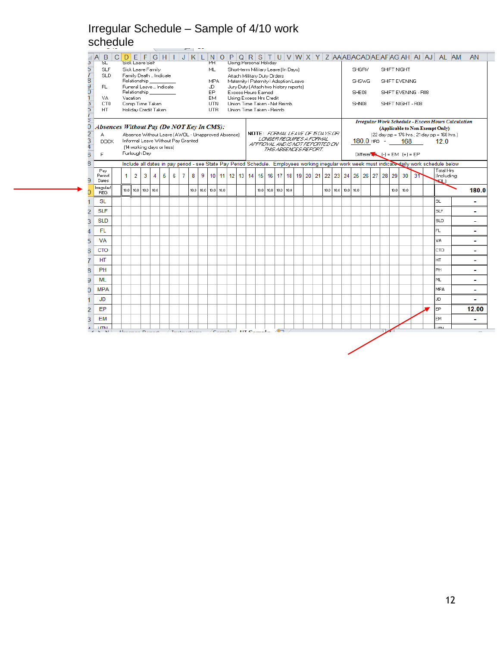### Irregular Schedule – Sample of 4/10 work schedule

|                                           | $\sim$ 100 $\sim$                       |                                           |                |   | $\sim$                    |   |                                    |   | $\sim$ |                                                   |                    |  |  |                                                                       |               |                          |  |  |             |      |                                                             |                                      |                   |      |                     |                                                                                                                                                |                          |
|-------------------------------------------|-----------------------------------------|-------------------------------------------|----------------|---|---------------------------|---|------------------------------------|---|--------|---------------------------------------------------|--------------------|--|--|-----------------------------------------------------------------------|---------------|--------------------------|--|--|-------------|------|-------------------------------------------------------------|--------------------------------------|-------------------|------|---------------------|------------------------------------------------------------------------------------------------------------------------------------------------|--------------------------|
| B.<br>SL<br>3                             | $C$ $D$ $E$ $F$ $G$ $H$ $I$ $J$ $K$ $L$ | Sick Leave Self                           |                |   |                           |   |                                    |   |        |                                                   | <b>PH</b>          |  |  | Using Personal Holiday                                                |               |                          |  |  |             |      |                                                             |                                      |                   |      |                     | NOPQRSTUVWXYZAAABACADAEAFAGAHAIAJALAM                                                                                                          | <b>AN</b>                |
| <b>SLF</b>                                |                                         | Sick Leave Family                         |                |   |                           |   |                                    |   |        |                                                   | ML.                |  |  | Short-term Military Leave (In Days)                                   |               |                          |  |  |             |      | SHGRV                                                       |                                      | SHIFT NIGHT       |      |                     |                                                                                                                                                |                          |
| b<br>18<br>9<br>0<br><b>SLD</b>           |                                         | Family Death  Indicate<br>Relationship    |                |   |                           |   |                                    |   |        |                                                   | MPA.               |  |  | Attach Military Duty Orders<br>Maternity / Paternity / Adoption Leave |               |                          |  |  |             |      | <b>SHSWG</b>                                                |                                      | SHIFT EVENING     |      |                     |                                                                                                                                                |                          |
| FL.                                       |                                         | Funeral Leave  Indicate                   |                |   |                           |   |                                    |   |        |                                                   | JD                 |  |  | Jury Duty (Attach two history reports)                                |               |                          |  |  |             |      |                                                             |                                      |                   |      |                     |                                                                                                                                                |                          |
| VA.                                       |                                         | Relationship <b>Relations</b><br>Vacation |                |   |                           |   |                                    |   |        |                                                   | EP.<br>EM.         |  |  | Excess Hours Earned<br>Using Excess Hrs Credit                        |               |                          |  |  |             |      | SHE08                                                       |                                      |                   |      | SHIFT EVENING - R08 |                                                                                                                                                |                          |
| 3<br>CT <sub>0</sub><br>HT.               |                                         | Comp Time Taken<br>Holiday Credit Taken   |                |   |                           |   |                                    |   |        |                                                   | <b>UTN</b><br>UTR. |  |  | Union Time Taken - Not Reimb.<br>Union Time Taken - Reimb             |               |                          |  |  |             |      | SHN08                                                       |                                      |                   |      | SHIFT NIGHT - R08   |                                                                                                                                                |                          |
|                                           |                                         |                                           |                |   |                           |   |                                    |   |        |                                                   |                    |  |  |                                                                       |               |                          |  |  |             |      |                                                             |                                      |                   |      |                     |                                                                                                                                                |                          |
| Absences Without Pay (Do NOT Key In CMS): |                                         |                                           |                |   |                           |   |                                    |   |        |                                                   |                    |  |  |                                                                       |               |                          |  |  |             |      |                                                             |                                      |                   |      |                     | <b>Irregular Work Schedule - Excess Hours Calculation</b><br>(Applicable to Non-Exempt Only)                                                   |                          |
| A                                         |                                         |                                           |                |   |                           |   |                                    |   |        | Absence Without Leave (AWOL - Unapproved Absence) |                    |  |  | <b>NOTE: FORMAL LEAVE OF 15DAYS OR</b>                                |               |                          |  |  |             |      |                                                             |                                      |                   |      |                     | (22 day pp = 176 hrs.; 21 day pp = 168 hrs.)                                                                                                   |                          |
| <b>DOCK</b>                               |                                         |                                           |                |   | [14 working days or less] |   | Informal Leave Without Pay Granted |   |        |                                                   |                    |  |  | AFFROVAL AND IS NOT REFORTED ON                                       |               | LONGER REGUIRES A FORMAL |  |  |             |      | $180.0$ HRS $-$                                             |                                      |                   |      | 168 —               | 12.0                                                                                                                                           |                          |
| F                                         |                                         | Furlough Day                              |                |   |                           |   |                                    |   |        |                                                   |                    |  |  |                                                                       |               | THIS ABSENCES REPORT.    |  |  |             |      |                                                             | Different $(x - (-) = EM + (-) = EP$ |                   |      |                     |                                                                                                                                                |                          |
|                                           |                                         |                                           |                |   |                           |   |                                    |   |        |                                                   |                    |  |  |                                                                       |               |                          |  |  |             |      |                                                             |                                      |                   |      |                     | Include all dates in pay period - see State Pay Period Schedule. Employees working irregular work week must indicate daily work schedule below |                          |
| Pau<br>Period                             |                                         | 1                                         | $\overline{2}$ | 3 | $\overline{4}$            | 5 | 6                                  | 7 | 8      | 9                                                 |                    |  |  |                                                                       |               |                          |  |  |             |      | 10 11 12 13 14 15 16 17 18 19 20 21 22 23 24 25 26 27 28 29 |                                      |                   | 30   | $3^{\circ}$         | Total Hrs<br>[Including                                                                                                                        |                          |
| Dates                                     |                                         |                                           |                |   |                           |   |                                    |   |        |                                                   |                    |  |  |                                                                       |               |                          |  |  |             |      |                                                             |                                      |                   |      |                     | NQL)                                                                                                                                           |                          |
| Irregular/<br><b>REG</b>                  |                                         | 10.0 l                                    | 10.0 10.0 10.0 |   |                           |   |                                    |   |        | 10.0   10.0   10.0   10.0                         |                    |  |  | 10.0                                                                  | $10.0$ $10.0$ | 10.0                     |  |  | $10.0$ 10.0 | 10.0 | 10.0                                                        |                                      | 10.0 <sub>1</sub> | 10.0 |                     |                                                                                                                                                | 180.0                    |
| <b>SL</b>                                 |                                         |                                           |                |   |                           |   |                                    |   |        |                                                   |                    |  |  |                                                                       |               |                          |  |  |             |      |                                                             |                                      |                   |      |                     | SL                                                                                                                                             |                          |
| <b>SLF</b>                                |                                         |                                           |                |   |                           |   |                                    |   |        |                                                   |                    |  |  |                                                                       |               |                          |  |  |             |      |                                                             |                                      |                   |      |                     | <b>SLF</b>                                                                                                                                     |                          |
| <b>SLD</b>                                |                                         |                                           |                |   |                           |   |                                    |   |        |                                                   |                    |  |  |                                                                       |               |                          |  |  |             |      |                                                             |                                      |                   |      |                     | <b>SLD</b>                                                                                                                                     | $\overline{\phantom{a}}$ |
| FL.                                       |                                         |                                           |                |   |                           |   |                                    |   |        |                                                   |                    |  |  |                                                                       |               |                          |  |  |             |      |                                                             |                                      |                   |      |                     | FL.                                                                                                                                            | $\sim$                   |
| VA                                        |                                         |                                           |                |   |                           |   |                                    |   |        |                                                   |                    |  |  |                                                                       |               |                          |  |  |             |      |                                                             |                                      |                   |      |                     | VA.                                                                                                                                            |                          |
| <b>CTO</b>                                |                                         |                                           |                |   |                           |   |                                    |   |        |                                                   |                    |  |  |                                                                       |               |                          |  |  |             |      |                                                             |                                      |                   |      |                     | CTO.                                                                                                                                           |                          |
| HT                                        |                                         |                                           |                |   |                           |   |                                    |   |        |                                                   |                    |  |  |                                                                       |               |                          |  |  |             |      |                                                             |                                      |                   |      |                     | HT.                                                                                                                                            |                          |
| PH                                        |                                         |                                           |                |   |                           |   |                                    |   |        |                                                   |                    |  |  |                                                                       |               |                          |  |  |             |      |                                                             |                                      |                   |      |                     | PH.                                                                                                                                            | $\sim$                   |
| ML                                        |                                         |                                           |                |   |                           |   |                                    |   |        |                                                   |                    |  |  |                                                                       |               |                          |  |  |             |      |                                                             |                                      |                   |      |                     | ML.                                                                                                                                            | $\overline{\phantom{a}}$ |
| <b>MPA</b>                                |                                         |                                           |                |   |                           |   |                                    |   |        |                                                   |                    |  |  |                                                                       |               |                          |  |  |             |      |                                                             |                                      |                   |      |                     | MPA                                                                                                                                            | $\sim$                   |
| <b>JD</b>                                 |                                         |                                           |                |   |                           |   |                                    |   |        |                                                   |                    |  |  |                                                                       |               |                          |  |  |             |      |                                                             |                                      |                   |      |                     | JD                                                                                                                                             |                          |
| EP                                        |                                         |                                           |                |   |                           |   |                                    |   |        |                                                   |                    |  |  |                                                                       |               |                          |  |  |             |      |                                                             |                                      |                   |      |                     | EP.                                                                                                                                            | 12.00                    |
| EM                                        |                                         |                                           |                |   |                           |   |                                    |   |        |                                                   |                    |  |  |                                                                       |               |                          |  |  |             |      |                                                             |                                      |                   |      |                     | <b>EM</b>                                                                                                                                      |                          |
|                                           |                                         |                                           |                |   |                           |   |                                    |   |        |                                                   |                    |  |  |                                                                       |               |                          |  |  |             |      |                                                             |                                      |                   |      |                     | <b>LITA</b>                                                                                                                                    |                          |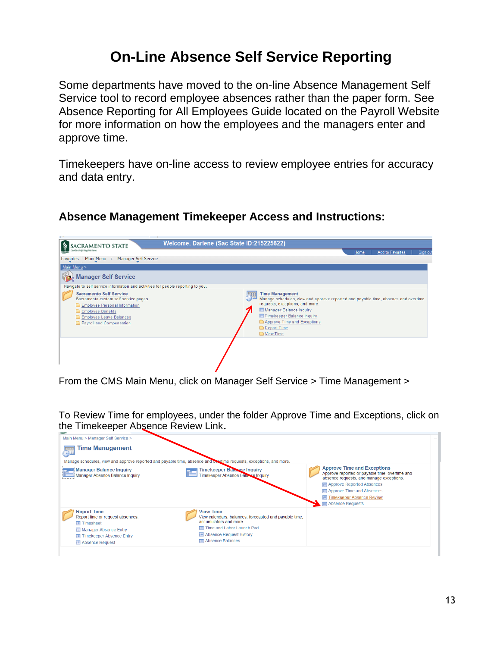# **On-Line Absence Self Service Reporting**

Some departments have moved to the on-line Absence Management Self Service tool to record employee absences rather than the paper form. See Absence Reporting for All Employees Guide located on the Payroll Website for more information on how the employees and the managers enter and approve time.

Timekeepers have on-line access to review employee entries for accuracy and data entry.

#### **Absence Management Timekeeper Access and Instructions:**



From the CMS Main Menu, click on Manager Self Service > Time Management >

To Review Time for employees, under the folder Approve Time and Exceptions, click on the Timekeeper Absence Review Link.

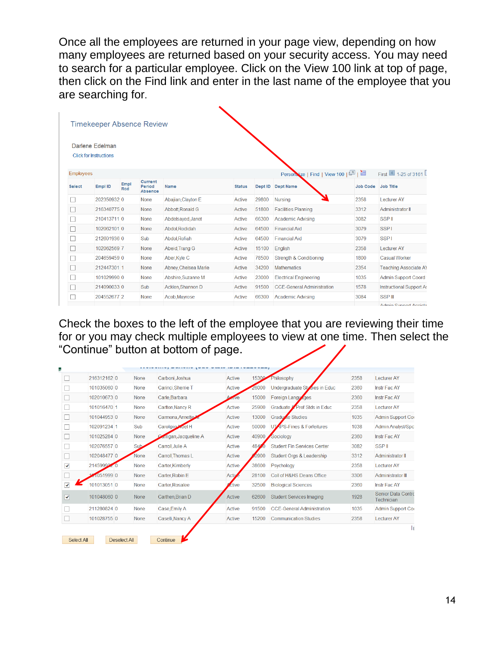Once all the employees are returned in your page view, depending on how many employees are returned based on your security access. You may need to search for a particular employee. Click on the View 100 link at top of page, then click on the Find link and enter in the last name of the employee that you are searching for.

|                  | Darlene Edelman<br><b>Click for Instructions</b> |                    |                                            |                      |               |         |                                    |                 |                              |
|------------------|--------------------------------------------------|--------------------|--------------------------------------------|----------------------|---------------|---------|------------------------------------|-----------------|------------------------------|
| <b>Employees</b> |                                                  |                    |                                            |                      |               |         | Personalize   Find   View 100   2  |                 | First 1-25 of 3161           |
| <b>Select</b>    | Empl ID                                          | Empl<br><b>Rcd</b> | <b>Current</b><br>Period<br><b>Absence</b> | Name                 | <b>Status</b> | Dept ID | <b>Dept Name</b>                   | <b>Job Code</b> | Job Title                    |
|                  | 202350932 0                                      |                    | <b>None</b>                                | Abajian Clayton E    | <b>Active</b> | 29800   | Nursing                            | 2358            | <b>Lecturer AY</b>           |
|                  | 2163407750                                       |                    | None                                       | Abbott, Ronald G     | <b>Active</b> | 51800   | <b>Facilities Planning</b>         | 3312            | Administrator II             |
|                  | 2104137110                                       |                    | None                                       | Abdelsayed, Janet    | <b>Active</b> | 66300   | <b>Academic Advising</b>           | 3082            | <b>SSPII</b>                 |
|                  | 102062101 0                                      |                    | None                                       | Abdol, Rodidah       | <b>Active</b> | 64500   | <b>Financial Aid</b>               | 3079            | <b>SSP1</b>                  |
|                  | 212601936 0                                      |                    | Sub                                        | Abdol, Rofiah        | <b>Active</b> | 64500   | <b>Financial Aid</b>               | 3079            | <b>SSPI</b>                  |
|                  | 1020625697                                       |                    | None                                       | Abeid, Trang G       | <b>Active</b> | 15100   | English                            | 2358            | <b>Lecturer AY</b>           |
|                  | 204659459 0                                      |                    | None                                       | Aber, Kyle C         | <b>Active</b> | 78500   | <b>Strength &amp; Conditioning</b> | 1800            | <b>Casual Worker</b>         |
|                  | 212447301 1                                      |                    | None                                       | Abney, Chelsea Marie | <b>Active</b> | 34200   | <b>Mathematics</b>                 | 2354            | <b>Teaching Associate AY</b> |
|                  | 101029990 0                                      |                    | None                                       | Abshire, Suzanne M   | <b>Active</b> | 23000   | <b>Electrical Engineering</b>      | 1035            | <b>Admin Support Coord</b>   |
|                  | 2140900330                                       |                    | Sub                                        | Acklen, Shannon D    | <b>Active</b> | 91500   | <b>CCE-General Administration</b>  | 1578            | Instructional Support As     |
|                  | 2045526772                                       |                    | <b>None</b>                                | Acob, Mayrose        | <b>Active</b> | 66300   | <b>Academic Advising</b>           | 3084            | <b>SSP</b> III               |
|                  |                                                  |                    |                                            |                      |               |         |                                    |                 | Admin Cunnort Accieta        |

Check the boxes to the left of the employee that you are reviewing their time for or you may check multiple employees to view at one time. Then select the "Continue" button at bottom of page.

|                      | 216312162 0 | <b>None</b> | Carboni.Joshua               | Active        | 15300       | Philosophy                         | 2358 | <b>Lecturer AY</b>                      |
|----------------------|-------------|-------------|------------------------------|---------------|-------------|------------------------------------|------|-----------------------------------------|
|                      | 101035060 0 | <b>None</b> | Carinci, Sherrie T           | <b>Active</b> | 26000       | Undergraduate Studies in Educ      | 2360 | <b>Instr Fac AY</b>                     |
|                      | 102010673 0 | <b>None</b> | Carle, Barbara               | Asave         | 15000       | Foreign Languages                  | 2360 | <b>Instr Fac AY</b>                     |
|                      | 101016470 1 | <b>None</b> | Carlton, Nancy R             | <b>Active</b> | 25900       | Graduate & Prof Stds in Educ       | 2358 | <b>Lecturer AY</b>                      |
|                      | 101044953 0 | None        | Carmona, Annette             | <b>Active</b> | 13000       | Graduzie Studies                   | 1035 | Admin Support Cor                       |
|                      | 102091234 1 | Sub         | Carolipio <b>Moel H</b>      | Active        | 50000       | UT PS-Fines & Forfeitures          | 1038 | <b>Admin Analyst/Spc</b>                |
|                      | 101025284 0 | <b>None</b> | <b>Arrigan, Jacqueline A</b> | Active        | 40900       | Sociology                          | 2360 | <b>Instr Fac AY</b>                     |
|                      | 102076557 0 | Sub-        | Carroll, Julie A             | Active        | 4849<br>X). | <b>Student Fin Services Center</b> | 3082 | <b>SSPII</b>                            |
|                      | 102048477 0 | None        | Carroll, Thomas L            | <b>Active</b> | 0900        | Student Oras & Leadership          | 3312 | <b>Administrator II</b>                 |
| $\blacktriangledown$ | 21459992    | <b>None</b> | Carter Kimberly              | <b>Active</b> | 38600       | Psychology                         | 2358 | <b>Lecturer AY</b>                      |
|                      | 1051999 0   | <b>None</b> | Carter, Robin E              | <b>Activ</b>  | 28100       | Coll of H&HS Deans Office          | 3306 | <b>Administrator III</b>                |
| $\blacktriangledown$ | 101013051 0 | <b>None</b> | Carter, Rosalee              | ctive         | 32500       | <b>Biological Sciences</b>         | 2360 | <b>Instr Fac AY</b>                     |
| ☑                    | 101048060 0 | None        | Carthen, Brian D             | <b>Active</b> | 62600       | <b>Student Services Imaging</b>    | 1928 | <b>Senior Data Contro</b><br>Technician |
|                      | 211280824 0 | <b>None</b> | Case, Emily A                | <b>Active</b> | 91500       | <b>CCF-General Administration</b>  | 1035 | Admin Support Cor                       |
|                      | 101028755 0 | <b>None</b> | Caselli, Nancy A             | Active        | 15200       | <b>Communication Studies</b>       | 2358 | Lecturer AY                             |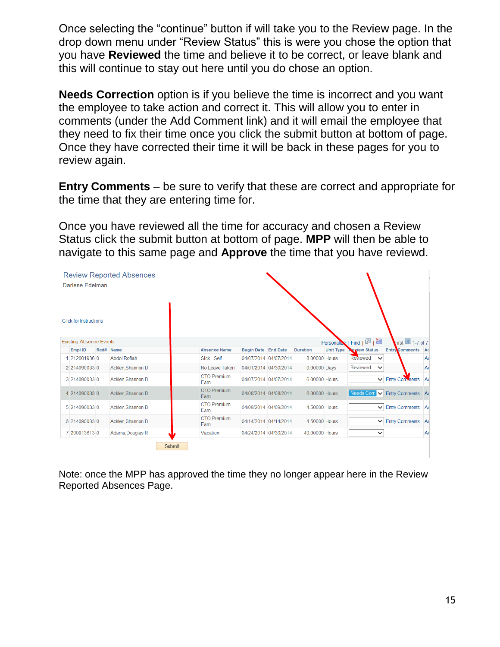Once selecting the "continue" button if will take you to the Review page. In the drop down menu under "Review Status" this is were you chose the option that you have **Reviewed** the time and believe it to be correct, or leave blank and this will continue to stay out here until you do chose an option.

**Needs Correction** option is if you believe the time is incorrect and you want the employee to take action and correct it. This will allow you to enter in comments (under the Add Comment link) and it will email the employee that they need to fix their time once you click the submit button at bottom of page. Once they have corrected their time it will be back in these pages for you to review again.

**Entry Comments** – be sure to verify that these are correct and appropriate for the time that they are entering time for.

Once you have reviewed all the time for accuracy and chosen a Review Status click the submit button at bottom of page. **MPP** will then be able to navigate to this same page and **Approve** the time that you have reviewd.

| Darlene Edelman                | <b>Review Reported Absences</b> |                            |                     |                       |                 |                  |                              |                       |                |
|--------------------------------|---------------------------------|----------------------------|---------------------|-----------------------|-----------------|------------------|------------------------------|-----------------------|----------------|
| <b>Click for Instructions</b>  |                                 |                            |                     |                       |                 |                  |                              |                       |                |
| <b>Existing Absence Events</b> |                                 |                            |                     |                       |                 | Personalize      | Find $\boxed{2}$ $\boxed{3}$ | First $\Box$ 1-7 of 7 |                |
| Empl ID                        | Rcd# Name                       | <b>Absence Name</b>        | Begin Date End Date |                       | <b>Duration</b> | <b>Unit Type</b> | <b>Leview Status</b>         | Entry Comments Ad     |                |
| 1 212601936 0                  | Abdol, Rofiah                   | Sick - Self                |                     | 04/07/2014 04/07/2014 | 8.00000 Hours   |                  | Reviewed<br>$\checkmark$     |                       | A <sub>0</sub> |
| 2 214090033 0                  | Acklen, Shannon D               | No Leave Taken             |                     | 04/01/2014 04/30/2014 | 0.00000 Days    |                  | Reviewed<br>$\checkmark$     |                       | A(             |
| 3 214090033 0                  | Acklen, Shannon D               | <b>CTO Premium</b><br>Earn |                     | 04/07/2014 04/07/2014 | 6.00000 Hours   |                  | $\checkmark$                 | Entry Comments        | A <sub>0</sub> |
| 4 214090033 0                  | Acklen, Shannon D               | <b>CTO Premium</b><br>Earn |                     | 04/08/2014 04/08/2014 | 6.00000 Hours   |                  | Needs Corr<br>$\checkmark$   | Entry Comments A      |                |
| 5 214090033 0                  | Acklen.Shannon D                | <b>CTO Premium</b><br>Earn |                     | 04/09/2014 04/09/2014 | 4.50000 Hours   |                  | $\checkmark$                 | Entry Comments A      |                |
| 6 214090033 0                  | Acklen, Shannon D               | <b>CTO Premium</b><br>Earn |                     | 04/14/2014 04/14/2014 | 4.50000 Hours   |                  | $\checkmark$                 | Entry Comments A      |                |
| 7 200913613 0                  | Adams, Douglas R                | Vacation                   |                     | 04/24/2014 04/30/2014 | 40,00000 Hours  |                  | $\checkmark$                 |                       | A <sub>0</sub> |
|                                |                                 | Submit                     |                     |                       |                 |                  |                              |                       |                |

Note: once the MPP has approved the time they no longer appear here in the Review Reported Absences Page.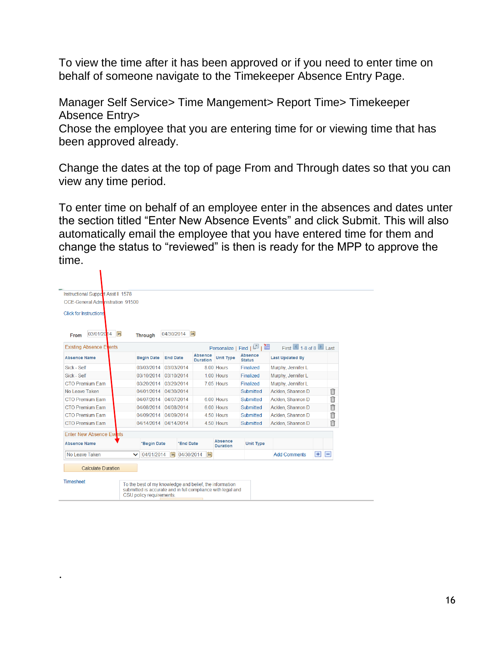To view the time after it has been approved or if you need to enter time on behalf of someone navigate to the Timekeeper Absence Entry Page.

Manager Self Service> Time Mangement> Report Time> Timekeeper Absence Entry>

Chose the employee that you are entering time for or viewing time that has been approved already.

Change the dates at the top of page From and Through dates so that you can view any time period.

To enter time on behalf of an employee enter in the absences and dates unter the section titled "Enter New Absence Events" and click Submit. This will also automatically email the employee that you have entered time for them and change the status to "reviewed" is then is ready for the MPP to approve the time.

| Instructional Support Asst II 1578 |              |                       |                 |                |                                   |                         |                                                         |                                 |                                    |                    |   |
|------------------------------------|--------------|-----------------------|-----------------|----------------|-----------------------------------|-------------------------|---------------------------------------------------------|---------------------------------|------------------------------------|--------------------|---|
| CCE-General Administration 91500   |              |                       |                 |                |                                   |                         |                                                         |                                 |                                    |                    |   |
| <b>Click for Instructions</b>      |              |                       |                 |                |                                   |                         |                                                         |                                 |                                    |                    |   |
| 03/01/2014<br>B1<br>From           |              | <b>Through</b>        |                 | 04/30/2014  31 |                                   |                         |                                                         |                                 |                                    |                    |   |
| <b>Existing Absence Events</b>     |              |                       |                 |                |                                   |                         |                                                         | Personalize   Find   回          | First $\Box$ 1-8 of 8 $\Box$ I ast |                    |   |
| <b>Absence Name</b>                |              | <b>Begin Date</b>     | <b>End Date</b> |                | <b>Absence</b><br><b>Duration</b> |                         | <b>Unit Type</b>                                        | <b>Absence</b><br><b>Status</b> | <b>Last Updated By</b>             |                    |   |
| Sick - Self                        |              | 03/03/2014            | 03/03/2014      |                |                                   |                         | 8.00 Hours                                              | Finalized                       | Murphy, Jennifer L                 |                    |   |
| Sick - Self                        |              | 03/10/2014            | 03/10/2014      |                |                                   |                         | 1.00 Hours                                              | Finalized                       | Murphy, Jennifer L                 |                    |   |
| CTO Premium Farn                   |              | 03/20/2014            | 03/20/2014      |                |                                   |                         | 7.05 Hours                                              | Finalized                       | Murphy, Jennifer L                 |                    |   |
| No Leave Taken                     |              | 04/01/2014            | 04/30/2014      |                |                                   |                         |                                                         | Submitted                       | Acklen, Shannon D                  |                    | 自 |
| <b>CTO Premium Farn</b>            |              | 04/07/2014            | 04/07/2014      |                |                                   |                         | 6.00 Hours                                              | Submitted                       | Acklen, Shannon D                  |                    | 俞 |
| <b>CTO Premium Farn</b>            |              | 04/08/2014            | 04/08/2014      |                |                                   |                         | 6.00 Hours                                              | Submitted                       | Acklen, Shannon D                  |                    | 俞 |
| <b>CTO Premium Earn</b>            |              | 04/09/2014            | 04/09/2014      |                |                                   |                         | 4.50 Hours                                              | Submitted                       | Acklen, Shannon D                  |                    | Ħ |
| <b>CTO Premium Earn</b>            |              | 04/14/2014 04/14/2014 |                 |                |                                   |                         | 4.50 Hours                                              | Submitted                       | Acklen, Shannon D                  |                    | î |
| <b>Enter New Absence Events</b>    |              |                       |                 |                |                                   |                         |                                                         |                                 |                                    |                    |   |
| <b>Absence Name</b>                |              | *Begin Date           |                 | *End Date      |                                   |                         | <b>Absence</b><br><b>Duration</b>                       | <b>Unit Type</b>                |                                    |                    |   |
| No Leave Taken                     | $\checkmark$ | 04/01/2014            | $\mathbf{E}$    | 04/30/2014     |                                   | $\overline{\mathbf{B}}$ |                                                         |                                 | <b>Add Comments</b>                | $\left  + \right $ | Е |
|                                    |              |                       |                 |                |                                   |                         |                                                         |                                 |                                    |                    |   |
| <b>Calculate Duration</b>          |              |                       |                 |                |                                   |                         |                                                         |                                 |                                    |                    |   |
| Timesheet                          |              |                       |                 |                |                                   |                         | To the best of my knowledge and belief, the information |                                 |                                    |                    |   |

.

 $\mathbf{L}$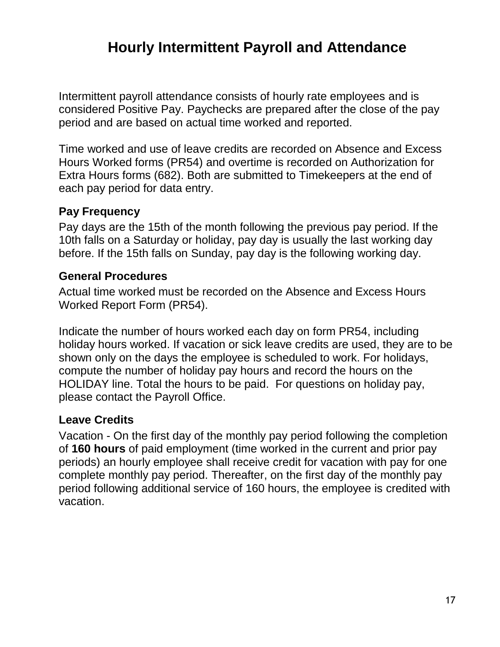# **Hourly Intermittent Payroll and Attendance**

Intermittent payroll attendance consists of hourly rate employees and is considered Positive Pay. Paychecks are prepared after the close of the pay period and are based on actual time worked and reported.

Time worked and use of leave credits are recorded on Absence and Excess Hours Worked forms (PR54) and overtime is recorded on Authorization for Extra Hours forms (682). Both are submitted to Timekeepers at the end of each pay period for data entry.

### **Pay Frequency**

Pay days are the 15th of the month following the previous pay period. If the 10th falls on a Saturday or holiday, pay day is usually the last working day before. If the 15th falls on Sunday, pay day is the following working day.

#### **General Procedures**

Actual time worked must be recorded on the Absence and Excess Hours Worked Report Form (PR54).

Indicate the number of hours worked each day on form PR54, including holiday hours worked. If vacation or sick leave credits are used, they are to be shown only on the days the employee is scheduled to work. For holidays, compute the number of holiday pay hours and record the hours on the HOLIDAY line. Total the hours to be paid. For questions on holiday pay, please contact the Payroll Office.

#### **Leave Credits**

Vacation - On the first day of the monthly pay period following the completion of **160 hours** of paid employment (time worked in the current and prior pay periods) an hourly employee shall receive credit for vacation with pay for one complete monthly pay period. Thereafter, on the first day of the monthly pay period following additional service of 160 hours, the employee is credited with vacation.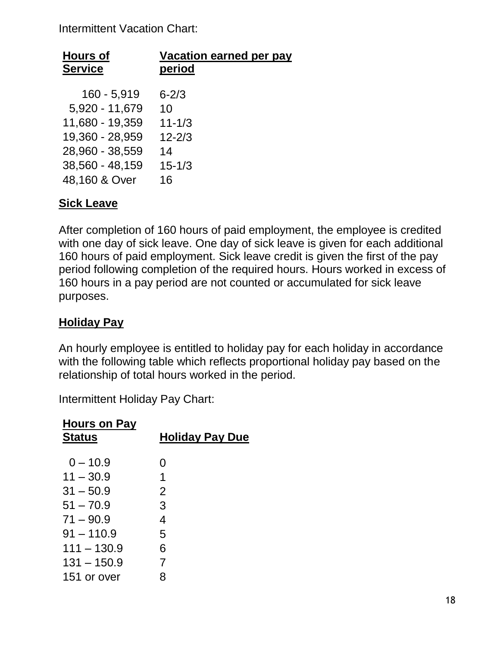Intermittent Vacation Chart:

| <b>Hours of</b> | Vacation earned per pay |
|-----------------|-------------------------|
| <b>Service</b>  | period                  |
| $160 - 5,919$   | $6 - 2/3$               |
| 5,920 - 11,679  | 10                      |
| 11,680 - 19,359 | $11 - 1/3$              |
| 19,360 - 28,959 | $12 - 2/3$              |
| 28,960 - 38,559 | 14                      |
| 38,560 - 48,159 | $15 - 1/3$              |
| 48,160 & Over   | 16                      |

### **Sick Leave**

After completion of 160 hours of paid employment, the employee is credited with one day of sick leave. One day of sick leave is given for each additional 160 hours of paid employment. Sick leave credit is given the first of the pay period following completion of the required hours. Hours worked in excess of 160 hours in a pay period are not counted or accumulated for sick leave purposes.

### **Holiday Pay**

An hourly employee is entitled to holiday pay for each holiday in accordance with the following table which reflects proportional holiday pay based on the relationship of total hours worked in the period.

Intermittent Holiday Pay Chart:

| <b>Hours on Pay</b><br><b>Status</b> | <b>Holiday Pay Due</b> |
|--------------------------------------|------------------------|
| $0 - 10.9$                           | 0                      |
| $11 - 30.9$                          | 1                      |
| $31 - 50.9$                          | 2                      |
| $51 - 70.9$                          | 3                      |
| $71 - 90.9$                          | 4                      |
| $91 - 110.9$                         | 5                      |
| $111 - 130.9$                        | 6                      |
| $131 - 150.9$                        | 7                      |
| 151 or over                          | 8                      |
|                                      |                        |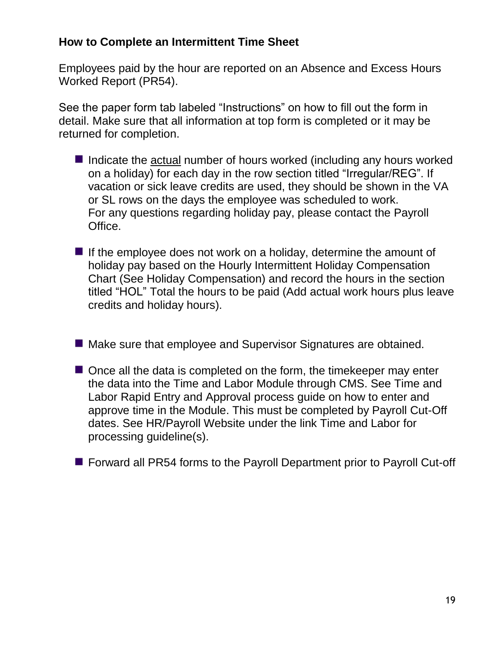### **How to Complete an Intermittent Time Sheet**

Employees paid by the hour are reported on an Absence and Excess Hours Worked Report (PR54).

See the paper form tab labeled "Instructions" on how to fill out the form in detail. Make sure that all information at top form is completed or it may be returned for completion.

- $\blacksquare$  Indicate the actual number of hours worked (including any hours worked on a holiday) for each day in the row section titled "Irregular/REG". If vacation or sick leave credits are used, they should be shown in the VA or SL rows on the days the employee was scheduled to work. For any questions regarding holiday pay, please contact the Payroll Office.
- If the employee does not work on a holiday, determine the amount of holiday pay based on the Hourly Intermittent Holiday Compensation Chart (See Holiday Compensation) and record the hours in the section titled "HOL" Total the hours to be paid (Add actual work hours plus leave credits and holiday hours).
- Make sure that employee and Supervisor Signatures are obtained.
- $\blacksquare$  Once all the data is completed on the form, the timekeeper may enter the data into the Time and Labor Module through CMS. See Time and Labor Rapid Entry and Approval process guide on how to enter and approve time in the Module. This must be completed by Payroll Cut-Off dates. See HR/Payroll Website under the link Time and Labor for processing guideline(s).
- Forward all PR54 forms to the Payroll Department prior to Payroll Cut-off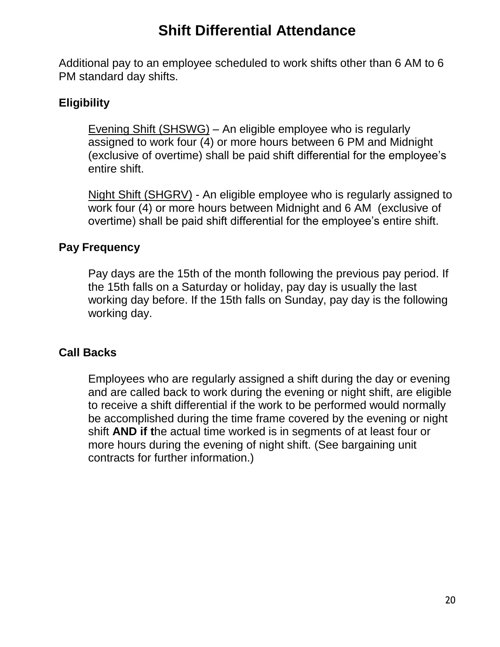# **Shift Differential Attendance**

Additional pay to an employee scheduled to work shifts other than 6 AM to 6 PM standard day shifts.

### **Eligibility**

Evening Shift (SHSWG) – An eligible employee who is regularly assigned to work four (4) or more hours between 6 PM and Midnight (exclusive of overtime) shall be paid shift differential for the employee's entire shift.

Night Shift (SHGRV) - An eligible employee who is regularly assigned to work four (4) or more hours between Midnight and 6 AM (exclusive of overtime) shall be paid shift differential for the employee's entire shift.

#### **Pay Frequency**

Pay days are the 15th of the month following the previous pay period. If the 15th falls on a Saturday or holiday, pay day is usually the last working day before. If the 15th falls on Sunday, pay day is the following working day.

#### **Call Backs**

Employees who are regularly assigned a shift during the day or evening and are called back to work during the evening or night shift, are eligible to receive a shift differential if the work to be performed would normally be accomplished during the time frame covered by the evening or night shift **AND if t**he actual time worked is in segments of at least four or more hours during the evening of night shift. (See bargaining unit contracts for further information.)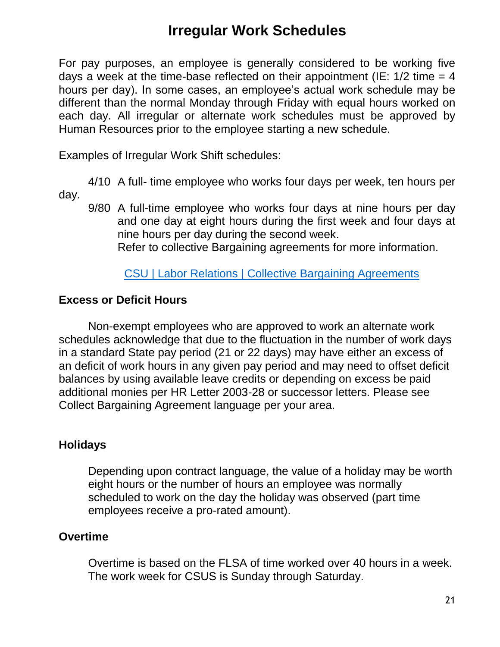# **Irregular Work Schedules**

For pay purposes, an employee is generally considered to be working five days a week at the time-base reflected on their appointment (IE:  $1/2$  time = 4 hours per day). In some cases, an employee's actual work schedule may be different than the normal Monday through Friday with equal hours worked on each day. All irregular or alternate work schedules must be approved by Human Resources prior to the employee starting a new schedule.

Examples of Irregular Work Shift schedules:

4/10 A full- time employee who works four days per week, ten hours per day.

9/80 A full-time employee who works four days at nine hours per day and one day at eight hours during the first week and four days at nine hours per day during the second week.

Refer to collective Bargaining agreements for more information.

#### [CSU | Labor Relations | Collective Bargaining Agreements](http://www.calstate.edu/LaborRel/Contracts_HTML/contracts.shtml)

#### **Excess or Deficit Hours**

Non-exempt employees who are approved to work an alternate work schedules acknowledge that due to the fluctuation in the number of work days in a standard State pay period (21 or 22 days) may have either an excess of an deficit of work hours in any given pay period and may need to offset deficit balances by using available leave credits or depending on excess be paid additional monies per HR Letter 2003-28 or successor letters. Please see Collect Bargaining Agreement language per your area.

#### **Holidays**

Depending upon contract language, the value of a holiday may be worth eight hours or the number of hours an employee was normally scheduled to work on the day the holiday was observed (part time employees receive a pro-rated amount).

#### **Overtime**

Overtime is based on the FLSA of time worked over 40 hours in a week. The work week for CSUS is Sunday through Saturday.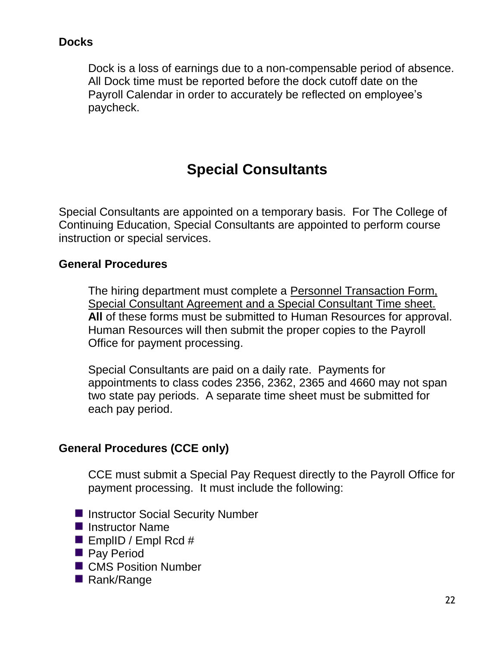### **Docks**

Dock is a loss of earnings due to a non-compensable period of absence. All Dock time must be reported before the dock cutoff date on the Payroll Calendar in order to accurately be reflected on employee's paycheck.

# **Special Consultants**

Special Consultants are appointed on a temporary basis. For The College of Continuing Education, Special Consultants are appointed to perform course instruction or special services.

#### **General Procedures**

The hiring department must complete a Personnel Transaction Form, Special Consultant Agreement and a Special Consultant Time sheet. **All** of these forms must be submitted to Human Resources for approval. Human Resources will then submit the proper copies to the Payroll Office for payment processing.

Special Consultants are paid on a daily rate. Payments for appointments to class codes 2356, 2362, 2365 and 4660 may not span two state pay periods. A separate time sheet must be submitted for each pay period.

#### **General Procedures (CCE only)**

CCE must submit a Special Pay Request directly to the Payroll Office for payment processing. It must include the following:

- **Instructor Social Security Number**
- **Instructor Name**
- EmplID / Empl Rcd  $#$
- **Pay Period**
- CMS Position Number
- Rank/Range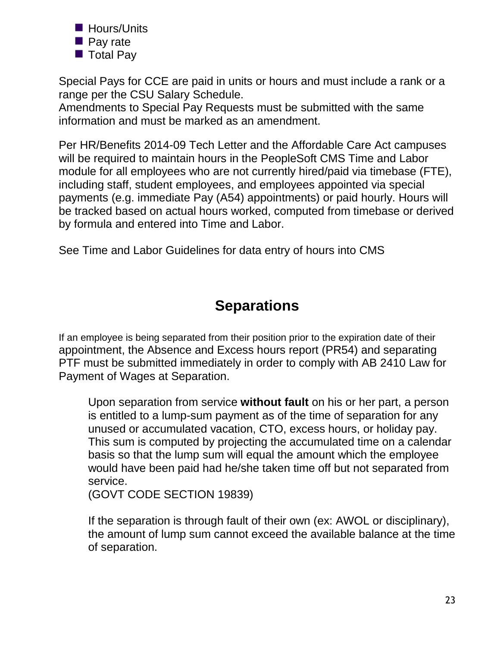

- **Pay rate**
- Total Pay

Special Pays for CCE are paid in units or hours and must include a rank or a range per the CSU Salary Schedule.

Amendments to Special Pay Requests must be submitted with the same information and must be marked as an amendment.

Per HR/Benefits 2014-09 Tech Letter and the Affordable Care Act campuses will be required to maintain hours in the PeopleSoft CMS Time and Labor module for all employees who are not currently hired/paid via timebase (FTE), including staff, student employees, and employees appointed via special payments (e.g. immediate Pay (A54) appointments) or paid hourly. Hours will be tracked based on actual hours worked, computed from timebase or derived by formula and entered into Time and Labor.

See Time and Labor Guidelines for data entry of hours into CMS

# **Separations**

If an employee is being separated from their position prior to the expiration date of their appointment, the Absence and Excess hours report (PR54) and separating PTF must be submitted immediately in order to comply with AB 2410 Law for Payment of Wages at Separation.

Upon separation from service **without fault** on his or her part, a person is entitled to a lump-sum payment as of the time of separation for any unused or accumulated vacation, CTO, excess hours, or holiday pay. This sum is computed by projecting the accumulated time on a calendar basis so that the lump sum will equal the amount which the employee would have been paid had he/she taken time off but not separated from service.

(GOVT CODE SECTION 19839)

If the separation is through fault of their own (ex: AWOL or disciplinary), the amount of lump sum cannot exceed the available balance at the time of separation.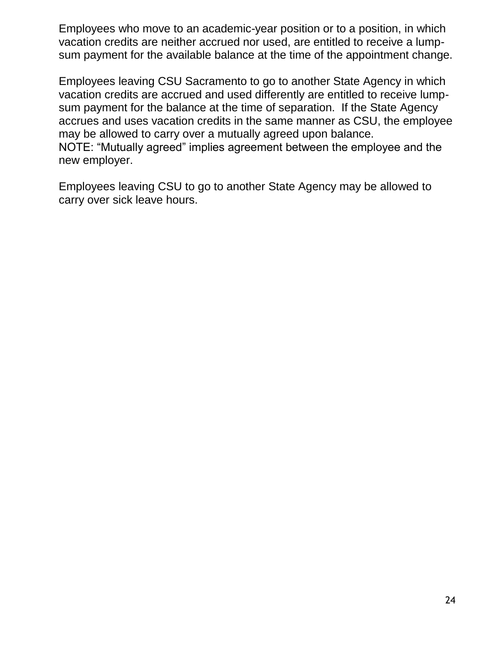Employees who move to an academic-year position or to a position, in which vacation credits are neither accrued nor used, are entitled to receive a lumpsum payment for the available balance at the time of the appointment change.

Employees leaving CSU Sacramento to go to another State Agency in which vacation credits are accrued and used differently are entitled to receive lumpsum payment for the balance at the time of separation. If the State Agency accrues and uses vacation credits in the same manner as CSU, the employee may be allowed to carry over a mutually agreed upon balance. NOTE: "Mutually agreed" implies agreement between the employee and the new employer.

Employees leaving CSU to go to another State Agency may be allowed to carry over sick leave hours.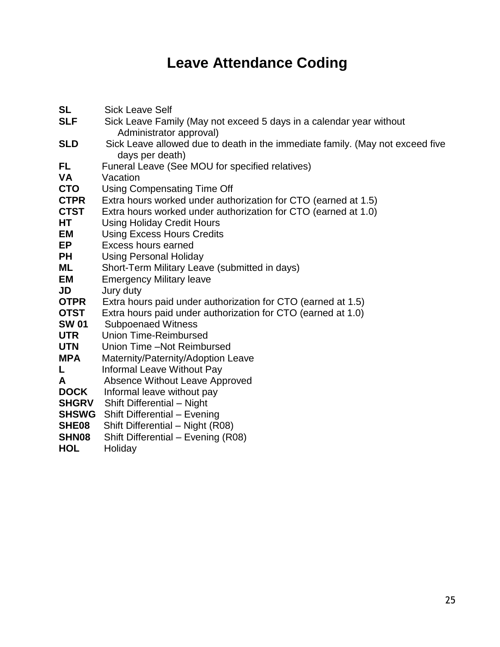# **Leave Attendance Coding**

| <b>SL</b>    | <b>Sick Leave Self</b>                                                        |
|--------------|-------------------------------------------------------------------------------|
| <b>SLF</b>   | Sick Leave Family (May not exceed 5 days in a calendar year without           |
|              | Administrator approval)                                                       |
| <b>SLD</b>   | Sick Leave allowed due to death in the immediate family. (May not exceed five |
|              | days per death)                                                               |
| FL           | Funeral Leave (See MOU for specified relatives)                               |
| <b>VA</b>    | Vacation                                                                      |
| <b>CTO</b>   | <b>Using Compensating Time Off</b>                                            |
| <b>CTPR</b>  | Extra hours worked under authorization for CTO (earned at 1.5)                |
| <b>CTST</b>  | Extra hours worked under authorization for CTO (earned at 1.0)                |
| HT           | <b>Using Holiday Credit Hours</b>                                             |
| EM           | <b>Using Excess Hours Credits</b>                                             |
| EP           | Excess hours earned                                                           |
| <b>PH</b>    | <b>Using Personal Holiday</b>                                                 |
| ML           | Short-Term Military Leave (submitted in days)                                 |
| EM           | <b>Emergency Military leave</b>                                               |
| JD           | Jury duty                                                                     |
| <b>OTPR</b>  | Extra hours paid under authorization for CTO (earned at 1.5)                  |
| <b>OTST</b>  | Extra hours paid under authorization for CTO (earned at 1.0)                  |
| <b>SW 01</b> | <b>Subpoenaed Witness</b>                                                     |
| <b>UTR</b>   | <b>Union Time-Reimbursed</b>                                                  |
| <b>UTN</b>   | Union Time -Not Reimbursed                                                    |
| <b>MPA</b>   | Maternity/Paternity/Adoption Leave                                            |
| L            | Informal Leave Without Pay                                                    |
| A            | Absence Without Leave Approved                                                |
| <b>DOCK</b>  | Informal leave without pay                                                    |
| <b>SHGRV</b> | Shift Differential - Night                                                    |
| <b>SHSWG</b> | Shift Differential - Evening                                                  |
| SHE08        | Shift Differential - Night (R08)                                              |
| SHN08        | Shift Differential - Evening (R08)                                            |
| <b>HOL</b>   | Holiday                                                                       |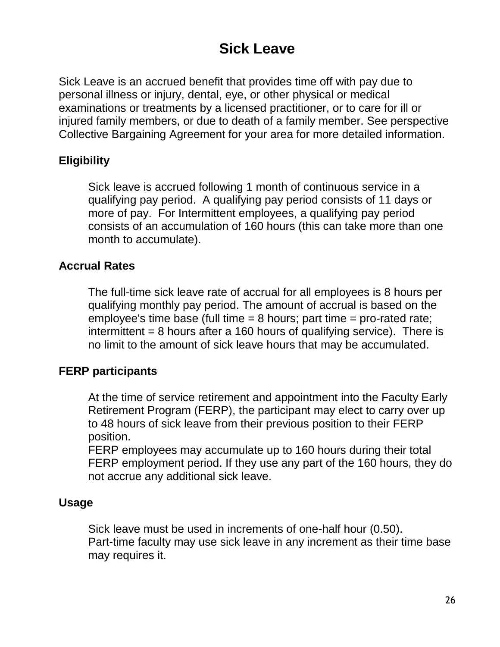# **Sick Leave**

Sick Leave is an accrued benefit that provides time off with pay due to personal illness or injury, dental, eye, or other physical or medical examinations or treatments by a licensed practitioner, or to care for ill or injured family members, or due to death of a family member. See perspective Collective Bargaining Agreement for your area for more detailed information.

### **Eligibility**

Sick leave is accrued following 1 month of continuous service in a qualifying pay period. A qualifying pay period consists of 11 days or more of pay. For Intermittent employees, a qualifying pay period consists of an accumulation of 160 hours (this can take more than one month to accumulate).

### **Accrual Rates**

The full-time sick leave rate of accrual for all employees is 8 hours per qualifying monthly pay period. The amount of accrual is based on the employee's time base (full time  $= 8$  hours; part time  $=$  pro-rated rate; intermittent  $= 8$  hours after a 160 hours of qualifying service). There is no limit to the amount of sick leave hours that may be accumulated.

#### **FERP participants**

At the time of service retirement and appointment into the Faculty Early Retirement Program (FERP), the participant may elect to carry over up to 48 hours of sick leave from their previous position to their FERP position.

FERP employees may accumulate up to 160 hours during their total FERP employment period. If they use any part of the 160 hours, they do not accrue any additional sick leave.

#### **Usage**

Sick leave must be used in increments of one-half hour (0.50). Part-time faculty may use sick leave in any increment as their time base may requires it.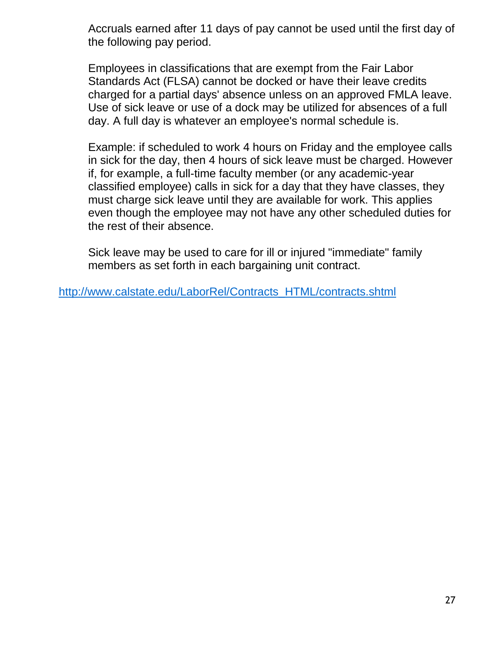Accruals earned after 11 days of pay cannot be used until the first day of the following pay period.

Employees in classifications that are exempt from the Fair Labor Standards Act (FLSA) cannot be docked or have their leave credits charged for a partial days' absence unless on an approved FMLA leave. Use of sick leave or use of a dock may be utilized for absences of a full day. A full day is whatever an employee's normal schedule is.

Example: if scheduled to work 4 hours on Friday and the employee calls in sick for the day, then 4 hours of sick leave must be charged. However if, for example, a full-time faculty member (or any academic-year classified employee) calls in sick for a day that they have classes, they must charge sick leave until they are available for work. This applies even though the employee may not have any other scheduled duties for the rest of their absence.

Sick leave may be used to care for ill or injured "immediate" family members as set forth in each bargaining unit contract.

[http://www.calstate.edu/LaborRel/Contracts\\_HTML/contracts.shtml](http://www.calstate.edu/LaborRel/Contracts_HTML/contracts.shtml)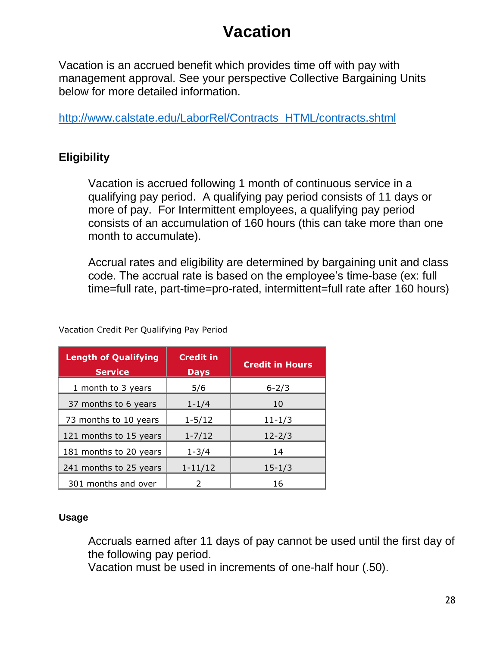# **Vacation**

Vacation is an accrued benefit which provides time off with pay with management approval. See your perspective Collective Bargaining Units below for more detailed information.

[http://www.calstate.edu/LaborRel/Contracts\\_HTML/contracts.shtml](http://www.calstate.edu/LaborRel/Contracts_HTML/contracts.shtml)

# **Eligibility**

Vacation is accrued following 1 month of continuous service in a qualifying pay period. A qualifying pay period consists of 11 days or more of pay. For Intermittent employees, a qualifying pay period consists of an accumulation of 160 hours (this can take more than one month to accumulate).

Accrual rates and eligibility are determined by bargaining unit and class code. The accrual rate is based on the employee's time-base (ex: full time=full rate, part-time=pro-rated, intermittent=full rate after 160 hours)

| <b>Length of Qualifying</b><br><b>Service</b> | <b>Credit in</b><br><b>Days</b> | <b>Credit in Hours</b> |
|-----------------------------------------------|---------------------------------|------------------------|
| 1 month to 3 years                            | 5/6                             | $6 - 2/3$              |
| 37 months to 6 years                          | $1 - 1/4$                       | 10                     |
| 73 months to 10 years                         | $1 - 5/12$                      | $11 - 1/3$             |
| 121 months to 15 years                        | $1 - 7/12$                      | $12 - 2/3$             |
| 181 months to 20 years                        | $1 - 3/4$                       | 14                     |
| 241 months to 25 years                        | $1 - 11/12$                     | $15 - 1/3$             |
| 301 months and over                           |                                 | 16                     |

Vacation Credit Per Qualifying Pay Period

#### **Usage**

Accruals earned after 11 days of pay cannot be used until the first day of the following pay period.

Vacation must be used in increments of one-half hour (.50).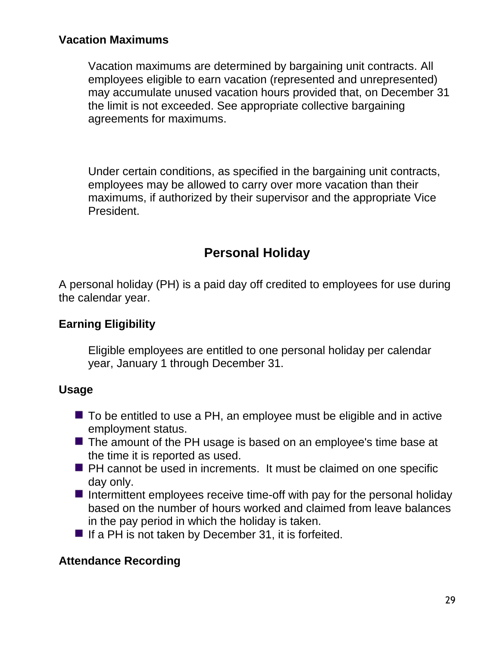### **Vacation Maximums**

Vacation maximums are determined by bargaining unit contracts. All employees eligible to earn vacation (represented and unrepresented) may accumulate unused vacation hours provided that, on December 31 the limit is not exceeded. See appropriate collective bargaining agreements for maximums.

Under certain conditions, as specified in the bargaining unit contracts, employees may be allowed to carry over more vacation than their maximums, if authorized by their supervisor and the appropriate Vice President.

# **Personal Holiday**

A personal holiday (PH) is a paid day off credited to employees for use during the calendar year.

#### **Earning Eligibility**

Eligible employees are entitled to one personal holiday per calendar year, January 1 through December 31.

#### **Usage**

- $\blacksquare$  To be entitled to use a PH, an employee must be eligible and in active employment status.
- The amount of the PH usage is based on an employee's time base at the time it is reported as used.
- **PH** cannot be used in increments. It must be claimed on one specific day only.
- Intermittent employees receive time-off with pay for the personal holiday based on the number of hours worked and claimed from leave balances in the pay period in which the holiday is taken.
- If a PH is not taken by December 31, it is forfeited.

#### **Attendance Recording**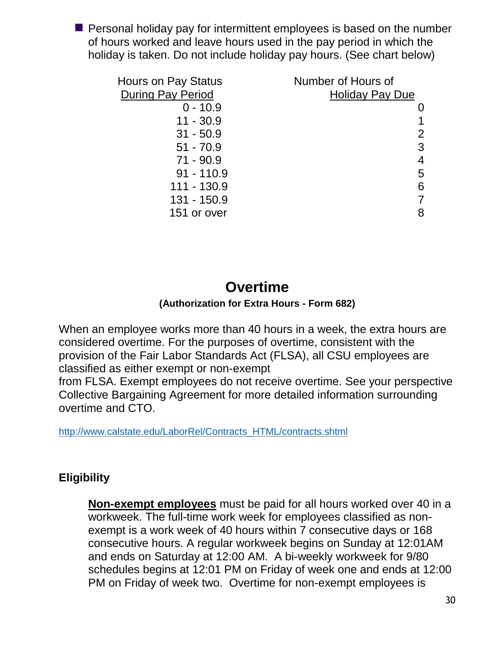$\blacksquare$  Personal holiday pay for intermittent employees is based on the number of hours worked and leave hours used in the pay period in which the holiday is taken. Do not include holiday pay hours. (See chart below)

| <b>Hours on Pay Status</b> | Number of Hours of     |
|----------------------------|------------------------|
| <b>During Pay Period</b>   | <b>Holiday Pay Due</b> |
| $0 - 10.9$                 |                        |
| $11 - 30.9$                |                        |
| $31 - 50.9$                | 2                      |
| $51 - 70.9$                | 3                      |
| $71 - 90.9$                | 4                      |
| $91 - 110.9$               | 5                      |
| 111 - 130.9                | 6                      |
| 131 - 150.9                |                        |
| 151 or over                | 8                      |

# **Overtime**

#### **(Authorization for Extra Hours - Form 682)**

When an employee works more than 40 hours in a week, the extra hours are considered overtime. For the purposes of overtime, consistent with the provision of the Fair Labor Standards Act (FLSA), all CSU employees are classified as either exempt or non-exempt

from FLSA. Exempt employees do not receive overtime. See your perspective Collective Bargaining Agreement for more detailed information surrounding overtime and CTO.

[http://www.calstate.edu/LaborRel/Contracts\\_HTML/contracts.shtml](http://www.calstate.edu/LaborRel/Contracts_HTML/contracts.shtml)

# **Eligibility**

**Non-exempt employees** must be paid for all hours worked over 40 in a workweek. The full-time work week for employees classified as nonexempt is a work week of 40 hours within 7 consecutive days or 168 consecutive hours. A regular workweek begins on Sunday at 12:01AM and ends on Saturday at 12:00 AM. A bi-weekly workweek for 9/80 schedules begins at 12:01 PM on Friday of week one and ends at 12:00 PM on Friday of week two. Overtime for non-exempt employees is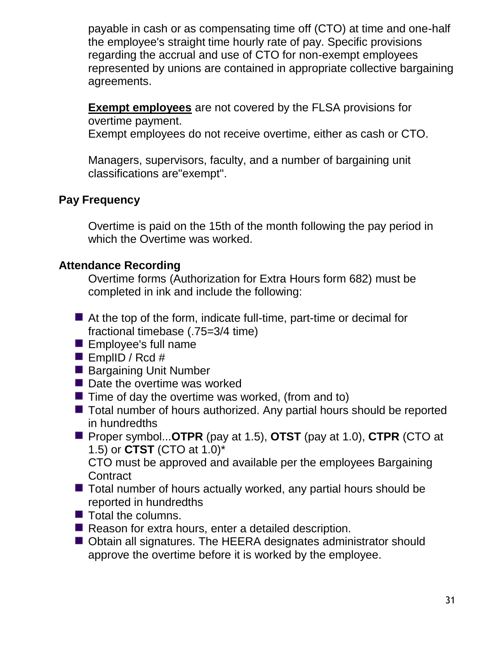payable in cash or as compensating time off (CTO) at time and one-half the employee's straight time hourly rate of pay. Specific provisions regarding the accrual and use of CTO for non-exempt employees represented by unions are contained in appropriate collective bargaining agreements.

**Exempt employees** are not covered by the FLSA provisions for overtime payment.

Exempt employees do not receive overtime, either as cash or CTO.

Managers, supervisors, faculty, and a number of bargaining unit classifications are"exempt".

### **Pay Frequency**

Overtime is paid on the 15th of the month following the pay period in which the Overtime was worked.

### **Attendance Recording**

Overtime forms (Authorization for Extra Hours form 682) must be completed in ink and include the following:

- At the top of the form, indicate full-time, part-time or decimal for fractional timebase (.75=3/4 time)
- **Examployee's full name**
- EmplID / Rcd  $#$
- Bargaining Unit Number
- Date the overtime was worked
- $\blacksquare$  Time of day the overtime was worked, (from and to)
- Total number of hours authorized. Any partial hours should be reported in hundredths
- Proper symbol...**OTPR** (pay at 1.5), **OTST** (pay at 1.0), **CTPR** (CTO at 1.5) or **CTST** (CTO at 1.0)\*

CTO must be approved and available per the employees Bargaining **Contract** 

- $\blacksquare$  Total number of hours actually worked, any partial hours should be reported in hundredths
- $\blacksquare$  Total the columns.
- Reason for extra hours, enter a detailed description.
- Obtain all signatures. The HEERA designates administrator should approve the overtime before it is worked by the employee.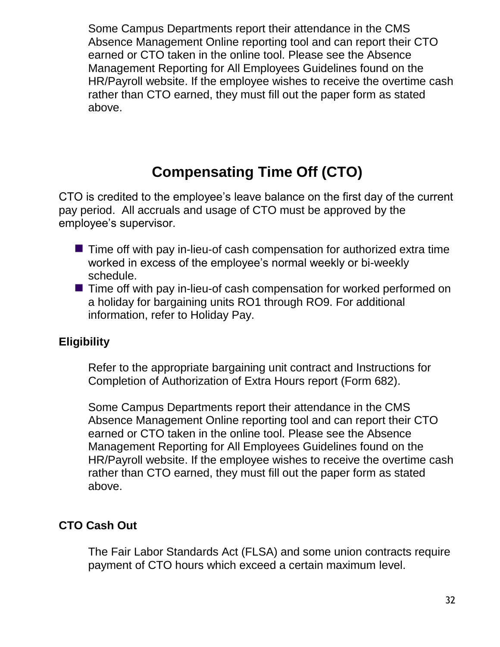Some Campus Departments report their attendance in the CMS Absence Management Online reporting tool and can report their CTO earned or CTO taken in the online tool. Please see the Absence Management Reporting for All Employees Guidelines found on the HR/Payroll website. If the employee wishes to receive the overtime cash rather than CTO earned, they must fill out the paper form as stated above.

# **Compensating Time Off (CTO)**

CTO is credited to the employee's leave balance on the first day of the current pay period. All accruals and usage of CTO must be approved by the employee's supervisor.

- $\blacksquare$  Time off with pay in-lieu-of cash compensation for authorized extra time worked in excess of the employee's normal weekly or bi-weekly schedule.
- Time off with pay in-lieu-of cash compensation for worked performed on a holiday for bargaining units RO1 through RO9. For additional information, refer to Holiday Pay.

### **Eligibility**

Refer to the appropriate bargaining unit contract and Instructions for Completion of Authorization of Extra Hours report (Form 682).

Some Campus Departments report their attendance in the CMS Absence Management Online reporting tool and can report their CTO earned or CTO taken in the online tool. Please see the Absence Management Reporting for All Employees Guidelines found on the HR/Payroll website. If the employee wishes to receive the overtime cash rather than CTO earned, they must fill out the paper form as stated above.

# **CTO Cash Out**

The Fair Labor Standards Act (FLSA) and some union contracts require payment of CTO hours which exceed a certain maximum level.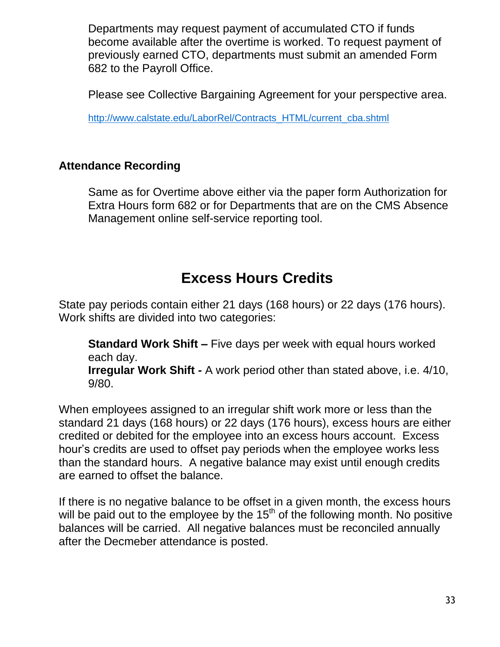Departments may request payment of accumulated CTO if funds become available after the overtime is worked. To request payment of previously earned CTO, departments must submit an amended Form 682 to the Payroll Office.

Please see Collective Bargaining Agreement for your perspective area.

[http://www.calstate.edu/LaborRel/Contracts\\_HTML/current\\_cba.shtml](http://www.calstate.edu/LaborRel/Contracts_HTML/current_cba.shtml)

### **Attendance Recording**

Same as for Overtime above either via the paper form Authorization for Extra Hours form 682 or for Departments that are on the CMS Absence Management online self-service reporting tool.

# **Excess Hours Credits**

State pay periods contain either 21 days (168 hours) or 22 days (176 hours). Work shifts are divided into two categories:

**Standard Work Shift –** Five days per week with equal hours worked each day.

**Irregular Work Shift -** A work period other than stated above, i.e. 4/10, 9/80.

When employees assigned to an irregular shift work more or less than the standard 21 days (168 hours) or 22 days (176 hours), excess hours are either credited or debited for the employee into an excess hours account. Excess hour's credits are used to offset pay periods when the employee works less than the standard hours. A negative balance may exist until enough credits are earned to offset the balance.

If there is no negative balance to be offset in a given month, the excess hours will be paid out to the employee by the  $15<sup>th</sup>$  of the following month. No positive balances will be carried. All negative balances must be reconciled annually after the Decmeber attendance is posted.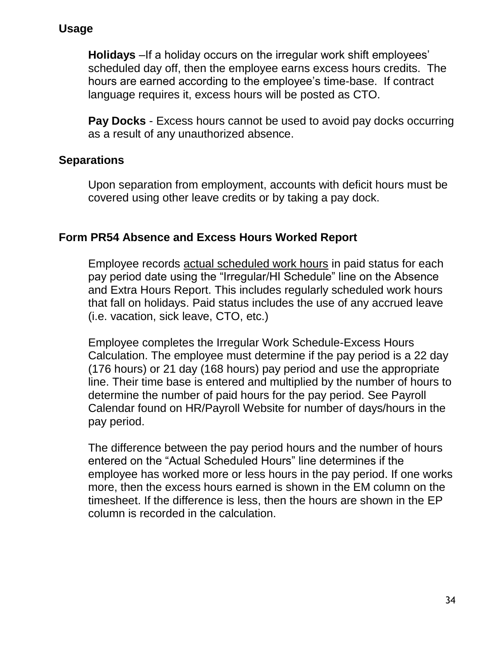### **Usage**

**Holidays** –If a holiday occurs on the irregular work shift employees' scheduled day off, then the employee earns excess hours credits. The hours are earned according to the employee's time-base. If contract language requires it, excess hours will be posted as CTO.

**Pay Docks** - Excess hours cannot be used to avoid pay docks occurring as a result of any unauthorized absence.

### **Separations**

Upon separation from employment, accounts with deficit hours must be covered using other leave credits or by taking a pay dock.

### **Form PR54 Absence and Excess Hours Worked Report**

Employee records actual scheduled work hours in paid status for each pay period date using the "Irregular/HI Schedule" line on the Absence and Extra Hours Report. This includes regularly scheduled work hours that fall on holidays. Paid status includes the use of any accrued leave (i.e. vacation, sick leave, CTO, etc.)

Employee completes the Irregular Work Schedule-Excess Hours Calculation. The employee must determine if the pay period is a 22 day (176 hours) or 21 day (168 hours) pay period and use the appropriate line. Their time base is entered and multiplied by the number of hours to determine the number of paid hours for the pay period. See Payroll Calendar found on HR/Payroll Website for number of days/hours in the pay period.

The difference between the pay period hours and the number of hours entered on the "Actual Scheduled Hours" line determines if the employee has worked more or less hours in the pay period. If one works more, then the excess hours earned is shown in the EM column on the timesheet. If the difference is less, then the hours are shown in the EP column is recorded in the calculation.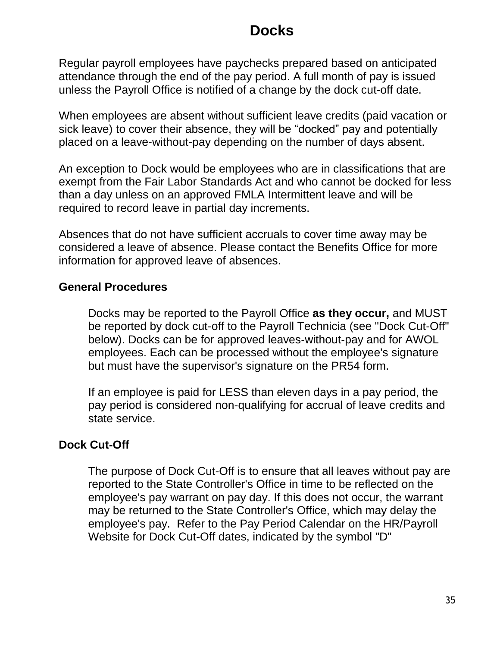# **Docks**

Regular payroll employees have paychecks prepared based on anticipated attendance through the end of the pay period. A full month of pay is issued unless the Payroll Office is notified of a change by the dock cut-off date.

When employees are absent without sufficient leave credits (paid vacation or sick leave) to cover their absence, they will be "docked" pay and potentially placed on a leave-without-pay depending on the number of days absent.

An exception to Dock would be employees who are in classifications that are exempt from the Fair Labor Standards Act and who cannot be docked for less than a day unless on an approved FMLA Intermittent leave and will be required to record leave in partial day increments.

Absences that do not have sufficient accruals to cover time away may be considered a leave of absence. Please contact the Benefits Office for more information for approved leave of absences.

#### **General Procedures**

Docks may be reported to the Payroll Office **as they occur,** and MUST be reported by dock cut-off to the Payroll Technicia (see "Dock Cut-Off" below). Docks can be for approved leaves-without-pay and for AWOL employees. Each can be processed without the employee's signature but must have the supervisor's signature on the PR54 form.

If an employee is paid for LESS than eleven days in a pay period, the pay period is considered non-qualifying for accrual of leave credits and state service.

#### **Dock Cut-Off**

The purpose of Dock Cut-Off is to ensure that all leaves without pay are reported to the State Controller's Office in time to be reflected on the employee's pay warrant on pay day. If this does not occur, the warrant may be returned to the State Controller's Office, which may delay the employee's pay. Refer to the Pay Period Calendar on the HR/Payroll Website for Dock Cut-Off dates, indicated by the symbol "D"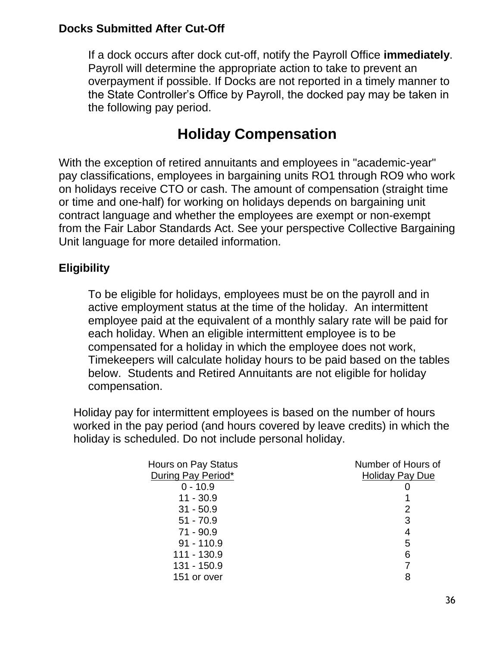### **Docks Submitted After Cut-Off**

If a dock occurs after dock cut-off, notify the Payroll Office **immediately**. Payroll will determine the appropriate action to take to prevent an overpayment if possible. If Docks are not reported in a timely manner to the State Controller's Office by Payroll, the docked pay may be taken in the following pay period.

# **Holiday Compensation**

With the exception of retired annuitants and employees in "academic-year" pay classifications, employees in bargaining units RO1 through RO9 who work on holidays receive CTO or cash. The amount of compensation (straight time or time and one-half) for working on holidays depends on bargaining unit contract language and whether the employees are exempt or non-exempt from the Fair Labor Standards Act. See your perspective Collective Bargaining Unit language for more detailed information.

### **Eligibility**

To be eligible for holidays, employees must be on the payroll and in active employment status at the time of the holiday. An intermittent employee paid at the equivalent of a monthly salary rate will be paid for each holiday. When an eligible intermittent employee is to be compensated for a holiday in which the employee does not work, Timekeepers will calculate holiday hours to be paid based on the tables below. Students and Retired Annuitants are not eligible for holiday compensation.

Holiday pay for intermittent employees is based on the number of hours worked in the pay period (and hours covered by leave credits) in which the holiday is scheduled. Do not include personal holiday.

| Hours on Pay Status | Number of Hours of     |
|---------------------|------------------------|
| During Pay Period*  | <b>Holiday Pay Due</b> |
| $0 - 10.9$          |                        |
| $11 - 30.9$         |                        |
| $31 - 50.9$         | 2                      |
| $51 - 70.9$         | 3                      |
| $71 - 90.9$         | 4                      |
| $91 - 110.9$        | 5                      |
| 111 - 130.9         | 6                      |
| 131 - 150.9         |                        |
| 151 or over         | 8                      |
|                     |                        |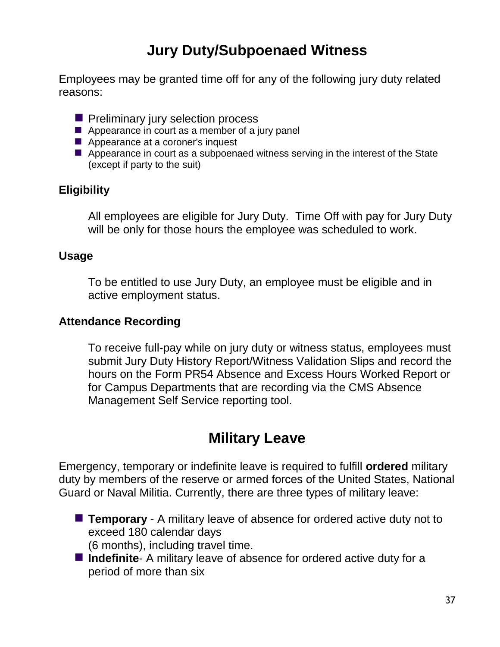# **Jury Duty/Subpoenaed Witness**

Employees may be granted time off for any of the following jury duty related reasons:

- **Peliminary jury selection process**
- $\blacksquare$  Appearance in court as a member of a jury panel
- Appearance at a coroner's inquest
- Appearance in court as a subpoenaed witness serving in the interest of the State (except if party to the suit)

#### **Eligibility**

All employees are eligible for Jury Duty. Time Off with pay for Jury Duty will be only for those hours the employee was scheduled to work.

#### **Usage**

To be entitled to use Jury Duty, an employee must be eligible and in active employment status.

#### **Attendance Recording**

To receive full-pay while on jury duty or witness status, employees must submit Jury Duty History Report/Witness Validation Slips and record the hours on the Form PR54 Absence and Excess Hours Worked Report or for Campus Departments that are recording via the CMS Absence Management Self Service reporting tool.

# **Military Leave**

Emergency, temporary or indefinite leave is required to fulfill **ordered** military duty by members of the reserve or armed forces of the United States, National Guard or Naval Militia. Currently, there are three types of military leave:

- **Temporary** A military leave of absence for ordered active duty not to exceed 180 calendar days (6 months), including travel time.
- **Indefinite** A military leave of absence for ordered active duty for a period of more than six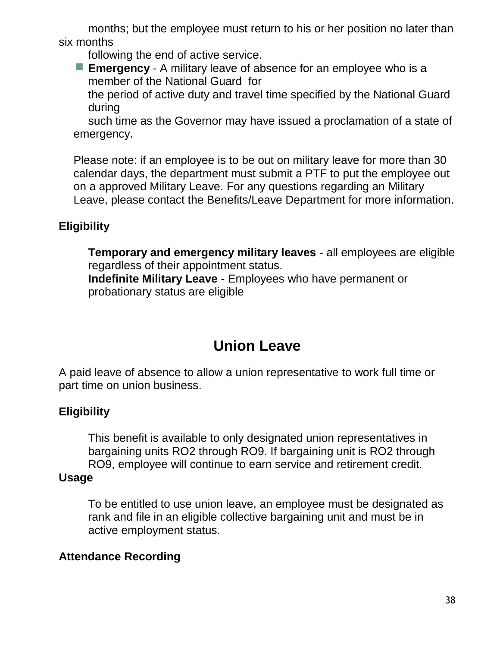months; but the employee must return to his or her position no later than six months

following the end of active service.

**Emergency** - A military leave of absence for an employee who is a member of the National Guard for

the period of active duty and travel time specified by the National Guard during

such time as the Governor may have issued a proclamation of a state of emergency.

Please note: if an employee is to be out on military leave for more than 30 calendar days, the department must submit a PTF to put the employee out on a approved Military Leave. For any questions regarding an Military Leave, please contact the Benefits/Leave Department for more information.

# **Eligibility**

**Temporary and emergency military leaves** - all employees are eligible regardless of their appointment status. **Indefinite Military Leave** - Employees who have permanent or probationary status are eligible

# **Union Leave**

A paid leave of absence to allow a union representative to work full time or part time on union business.

# **Eligibility**

This benefit is available to only designated union representatives in bargaining units RO2 through RO9. If bargaining unit is RO2 through RO9, employee will continue to earn service and retirement credit.

### **Usage**

To be entitled to use union leave, an employee must be designated as rank and file in an eligible collective bargaining unit and must be in active employment status.

### **Attendance Recording**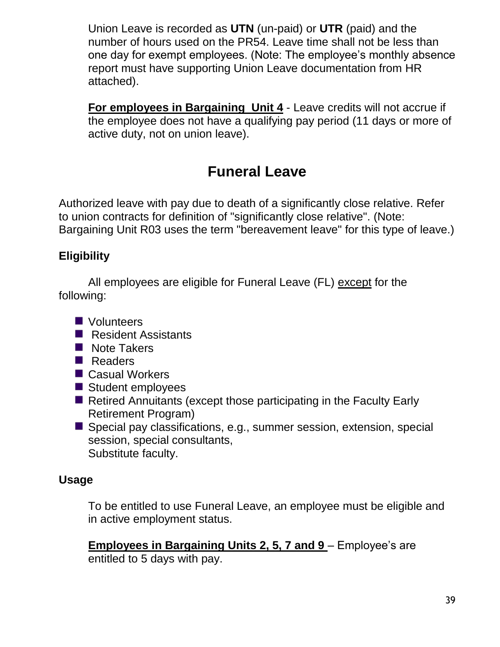Union Leave is recorded as **UTN** (un-paid) or **UTR** (paid) and the number of hours used on the PR54. Leave time shall not be less than one day for exempt employees. (Note: The employee's monthly absence report must have supporting Union Leave documentation from HR attached).

**For employees in Bargaining Unit 4** - Leave credits will not accrue if the employee does not have a qualifying pay period (11 days or more of active duty, not on union leave).

# **Funeral Leave**

Authorized leave with pay due to death of a significantly close relative. Refer to union contracts for definition of "significantly close relative". (Note: Bargaining Unit R03 uses the term "bereavement leave" for this type of leave.)

# **Eligibility**

All employees are eligible for Funeral Leave (FL) except for the following:

- **N** Volunteers
- Resident Assistants
- Note Takers
- Readers
- Casual Workers
- Student employees
- Retired Annuitants (except those participating in the Faculty Early Retirement Program)
- Special pay classifications, e.g., summer session, extension, special session, special consultants, Substitute faculty.

# **Usage**

To be entitled to use Funeral Leave, an employee must be eligible and in active employment status.

**Employees in Bargaining Units 2, 5, 7 and 9** – Employee's are entitled to 5 days with pay.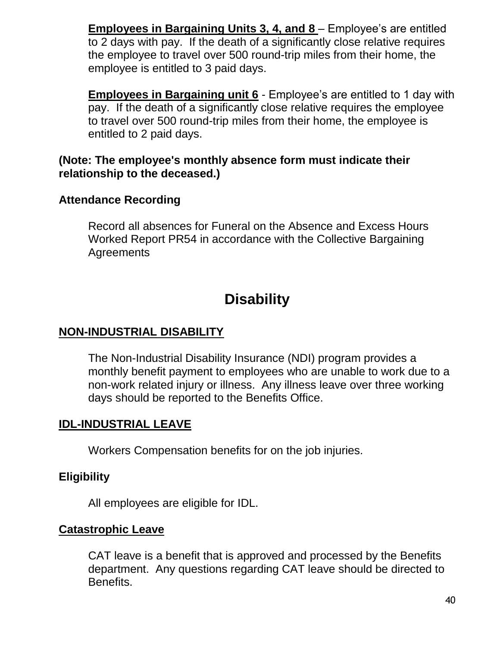**Employees in Bargaining Units 3, 4, and 8** – Employee's are entitled to 2 days with pay. If the death of a significantly close relative requires the employee to travel over 500 round-trip miles from their home, the employee is entitled to 3 paid days.

**Employees in Bargaining unit 6** - Employee's are entitled to 1 day with pay. If the death of a significantly close relative requires the employee to travel over 500 round-trip miles from their home, the employee is entitled to 2 paid days.

#### **(Note: The employee's monthly absence form must indicate their relationship to the deceased.)**

#### **Attendance Recording**

Record all absences for Funeral on the Absence and Excess Hours Worked Report PR54 in accordance with the Collective Bargaining **Agreements** 

# **Disability**

### **NON-INDUSTRIAL DISABILITY**

The Non-Industrial Disability Insurance (NDI) program provides a monthly benefit payment to employees who are unable to work due to a non-work related injury or illness. Any illness leave over three working days should be reported to the Benefits Office.

### **IDL-INDUSTRIAL LEAVE**

Workers Compensation benefits for on the job injuries.

### **Eligibility**

All employees are eligible for IDL.

#### **Catastrophic Leave**

CAT leave is a benefit that is approved and processed by the Benefits department. Any questions regarding CAT leave should be directed to Benefits.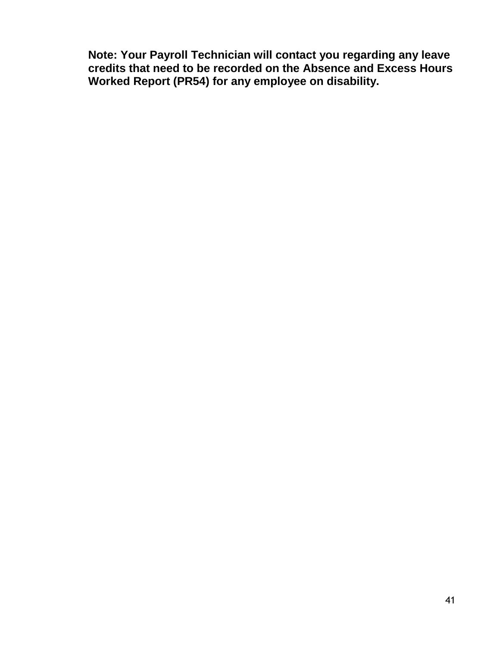**Note: Your Payroll Technician will contact you regarding any leave credits that need to be recorded on the Absence and Excess Hours Worked Report (PR54) for any employee on disability.**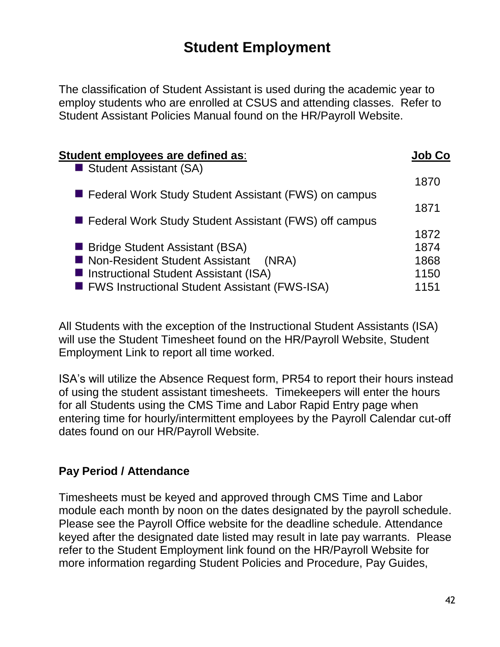# **Student Employment**

The classification of Student Assistant is used during the academic year to employ students who are enrolled at CSUS and attending classes. Refer to Student Assistant Policies Manual found on the HR/Payroll Website.

| Student employees are defined as:                     |      |
|-------------------------------------------------------|------|
| Student Assistant (SA)                                |      |
|                                                       | 1870 |
| Federal Work Study Student Assistant (FWS) on campus  |      |
|                                                       | 1871 |
| Federal Work Study Student Assistant (FWS) off campus |      |
|                                                       | 1872 |
| ■ Bridge Student Assistant (BSA)                      | 1874 |
| ■ Non-Resident Student Assistant<br>(NRA)             | 1868 |
| Instructional Student Assistant (ISA)                 | 1150 |
| ■ FWS Instructional Student Assistant (FWS-ISA)       | 1151 |
|                                                       |      |

All Students with the exception of the Instructional Student Assistants (ISA) will use the Student Timesheet found on the HR/Payroll Website, Student Employment Link to report all time worked.

ISA's will utilize the Absence Request form, PR54 to report their hours instead of using the student assistant timesheets. Timekeepers will enter the hours for all Students using the CMS Time and Labor Rapid Entry page when entering time for hourly/intermittent employees by the Payroll Calendar cut-off dates found on our HR/Payroll Website.

### **Pay Period / Attendance**

Timesheets must be keyed and approved through CMS Time and Labor module each month by noon on the dates designated by the payroll schedule. Please see the Payroll Office website for the deadline schedule. Attendance keyed after the designated date listed may result in late pay warrants. Please refer to the Student Employment link found on the HR/Payroll Website for more information regarding Student Policies and Procedure, Pay Guides,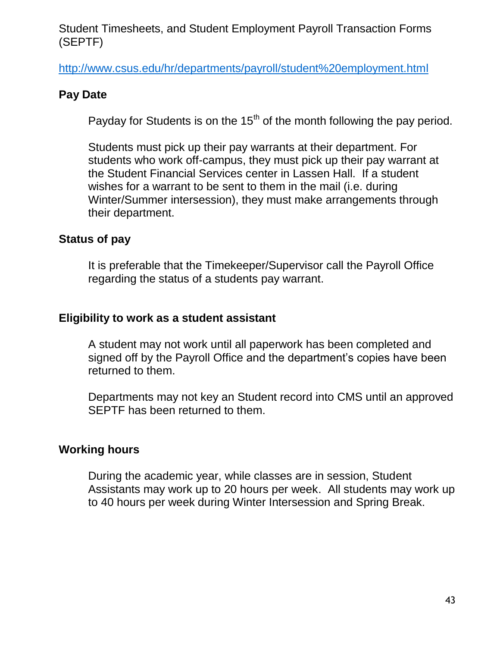#### Student Timesheets, and Student Employment Payroll Transaction Forms (SEPTF)

<http://www.csus.edu/hr/departments/payroll/student%20employment.html>

#### **Pay Date**

Payday for Students is on the  $15<sup>th</sup>$  of the month following the pay period.

Students must pick up their pay warrants at their department. For students who work off-campus, they must pick up their pay warrant at the Student Financial Services center in Lassen Hall. If a student wishes for a warrant to be sent to them in the mail (i.e. during Winter/Summer intersession), they must make arrangements through their department.

#### **Status of pay**

It is preferable that the Timekeeper/Supervisor call the Payroll Office regarding the status of a students pay warrant.

#### **Eligibility to work as a student assistant**

A student may not work until all paperwork has been completed and signed off by the Payroll Office and the department's copies have been returned to them.

Departments may not key an Student record into CMS until an approved SEPTF has been returned to them.

#### **Working hours**

During the academic year, while classes are in session, Student Assistants may work up to 20 hours per week. All students may work up to 40 hours per week during Winter Intersession and Spring Break.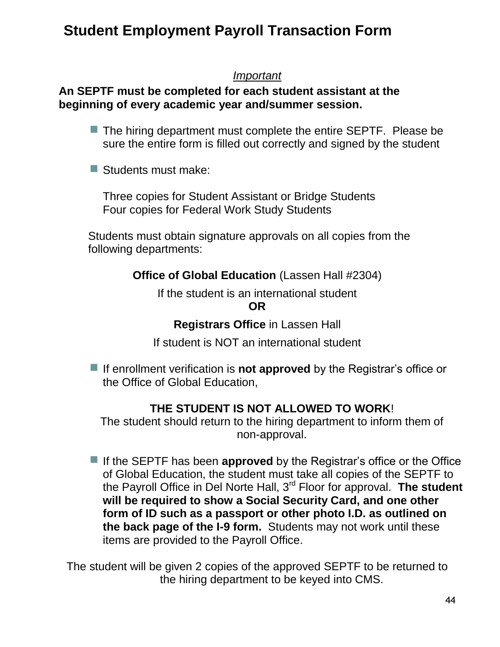# **Student Employment Payroll Transaction Form**

#### *Important*

### **An SEPTF must be completed for each student assistant at the beginning of every academic year and/summer session.**

- The hiring department must complete the entire SEPTF. Please be sure the entire form is filled out correctly and signed by the student
- Students must make:

Three copies for Student Assistant or Bridge Students Four copies for Federal Work Study Students

Students must obtain signature approvals on all copies from the following departments:

**Office of Global Education** (Lassen Hall #2304)

If the student is an international student

**OR**

**Registrars Office** in Lassen Hall

If student is NOT an international student

■ If enrollment verification is **not approved** by the Registrar's office or the Office of Global Education,

# **THE STUDENT IS NOT ALLOWED TO WORK**!

The student should return to the hiring department to inform them of non-approval.

If the SEPTF has been **approved** by the Registrar's office or the Office of Global Education, the student must take all copies of the SEPTF to the Payroll Office in Del Norte Hall, 3rd Floor for approval. **The student will be required to show a Social Security Card, and one other form of ID such as a passport or other photo I.D. as outlined on the back page of the I-9 form.** Students may not work until these items are provided to the Payroll Office.

The student will be given 2 copies of the approved SEPTF to be returned to the hiring department to be keyed into CMS.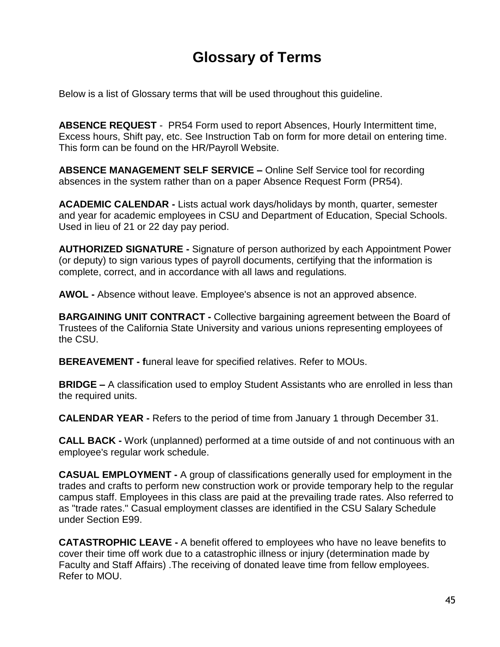# **Glossary of Terms**

Below is a list of Glossary terms that will be used throughout this guideline.

**ABSENCE REQUEST** - PR54 Form used to report Absences, Hourly Intermittent time, Excess hours, Shift pay, etc. See Instruction Tab on form for more detail on entering time. This form can be found on the HR/Payroll Website.

**ABSENCE MANAGEMENT SELF SERVICE –** Online Self Service tool for recording absences in the system rather than on a paper Absence Request Form (PR54).

**ACADEMIC CALENDAR -** Lists actual work days/holidays by month, quarter, semester and year for academic employees in CSU and Department of Education, Special Schools. Used in lieu of 21 or 22 day pay period.

**AUTHORIZED SIGNATURE -** Signature of person authorized by each Appointment Power (or deputy) to sign various types of payroll documents, certifying that the information is complete, correct, and in accordance with all laws and regulations.

**AWOL -** Absence without leave. Employee's absence is not an approved absence.

**BARGAINING UNIT CONTRACT -** Collective bargaining agreement between the Board of Trustees of the California State University and various unions representing employees of the CSU.

**BEREAVEMENT - f**uneral leave for specified relatives. Refer to MOUs.

**BRIDGE –** A classification used to employ Student Assistants who are enrolled in less than the required units.

**CALENDAR YEAR -** Refers to the period of time from January 1 through December 31.

**CALL BACK -** Work (unplanned) performed at a time outside of and not continuous with an employee's regular work schedule.

**CASUAL EMPLOYMENT -** A group of classifications generally used for employment in the trades and crafts to perform new construction work or provide temporary help to the regular campus staff. Employees in this class are paid at the prevailing trade rates. Also referred to as "trade rates." Casual employment classes are identified in the CSU Salary Schedule under Section E99.

**CATASTROPHIC LEAVE -** A benefit offered to employees who have no leave benefits to cover their time off work due to a catastrophic illness or injury (determination made by Faculty and Staff Affairs) .The receiving of donated leave time from fellow employees. Refer to MOU.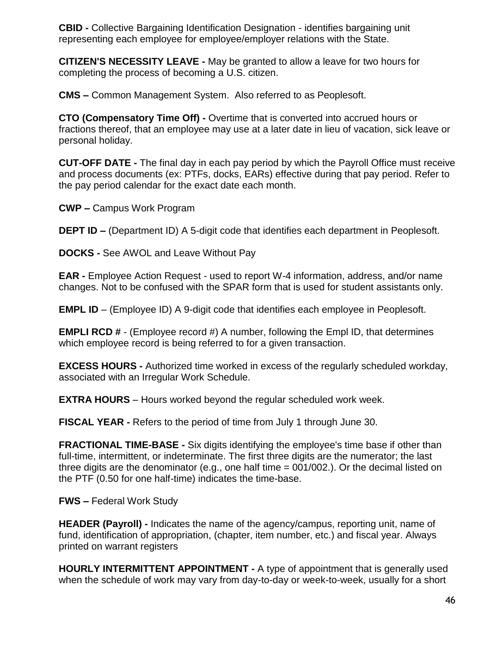**CBID -** Collective Bargaining Identification Designation - identifies bargaining unit representing each employee for employee/employer relations with the State.

**CITIZEN'S NECESSITY LEAVE -** May be granted to allow a leave for two hours for completing the process of becoming a U.S. citizen.

**CMS –** Common Management System. Also referred to as Peoplesoft.

**CTO (Compensatory Time Off) -** Overtime that is converted into accrued hours or fractions thereof, that an employee may use at a later date in lieu of vacation, sick leave or personal holiday.

**CUT-OFF DATE -** The final day in each pay period by which the Payroll Office must receive and process documents (ex: PTFs, docks, EARs) effective during that pay period. Refer to the pay period calendar for the exact date each month.

**CWP –** Campus Work Program

**DEPT ID –** (Department ID) A 5-digit code that identifies each department in Peoplesoft.

**DOCKS -** See AWOL and Leave Without Pay

**EAR -** Employee Action Request - used to report W-4 information, address, and/or name changes. Not to be confused with the SPAR form that is used for student assistants only.

**EMPL ID** – (Employee ID) A 9-digit code that identifies each employee in Peoplesoft.

**EMPLI RCD #** - (Employee record #) A number, following the Empl ID, that determines which employee record is being referred to for a given transaction.

**EXCESS HOURS -** Authorized time worked in excess of the regularly scheduled workday, associated with an Irregular Work Schedule.

**EXTRA HOURS** – Hours worked beyond the regular scheduled work week.

**FISCAL YEAR -** Refers to the period of time from July 1 through June 30.

**FRACTIONAL TIME-BASE -** Six digits identifying the employee's time base if other than full-time, intermittent, or indeterminate. The first three digits are the numerator; the last three digits are the denominator (e.g., one half time  $= 001/002$ .). Or the decimal listed on the PTF (0.50 for one half-time) indicates the time-base.

**FWS –** Federal Work Study

**HEADER (Payroll) -** Indicates the name of the agency/campus, reporting unit, name of fund, identification of appropriation, (chapter, item number, etc.) and fiscal year. Always printed on warrant registers

**HOURLY INTERMITTENT APPOINTMENT -** A type of appointment that is generally used when the schedule of work may vary from day-to-day or week-to-week, usually for a short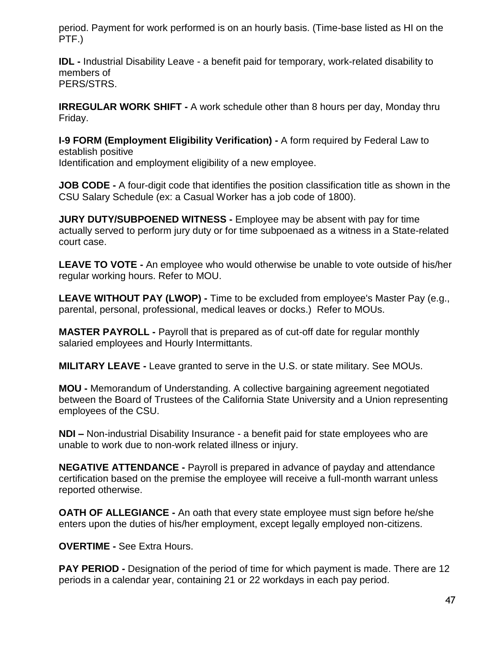period. Payment for work performed is on an hourly basis. (Time-base listed as HI on the PTF.)

**IDL -** Industrial Disability Leave - a benefit paid for temporary, work-related disability to members of PERS/STRS.

**IRREGULAR WORK SHIFT -** A work schedule other than 8 hours per day, Monday thru Friday.

**I-9 FORM (Employment Eligibility Verification) -** A form required by Federal Law to establish positive Identification and employment eligibility of a new employee.

**JOB CODE -** A four-digit code that identifies the position classification title as shown in the CSU Salary Schedule (ex: a Casual Worker has a job code of 1800).

**JURY DUTY/SUBPOENED WITNESS -** Employee may be absent with pay for time actually served to perform jury duty or for time subpoenaed as a witness in a State-related court case.

**LEAVE TO VOTE -** An employee who would otherwise be unable to vote outside of his/her regular working hours. Refer to MOU.

**LEAVE WITHOUT PAY (LWOP) -** Time to be excluded from employee's Master Pay (e.g., parental, personal, professional, medical leaves or docks.) Refer to MOUs.

**MASTER PAYROLL -** Payroll that is prepared as of cut-off date for regular monthly salaried employees and Hourly Intermittants.

**MILITARY LEAVE -** Leave granted to serve in the U.S. or state military. See MOUs.

**MOU -** Memorandum of Understanding. A collective bargaining agreement negotiated between the Board of Trustees of the California State University and a Union representing employees of the CSU.

**NDI –** Non-industrial Disability Insurance - a benefit paid for state employees who are unable to work due to non-work related illness or injury.

**NEGATIVE ATTENDANCE -** Payroll is prepared in advance of payday and attendance certification based on the premise the employee will receive a full-month warrant unless reported otherwise.

**OATH OF ALLEGIANCE -** An oath that every state employee must sign before he/she enters upon the duties of his/her employment, except legally employed non-citizens.

**OVERTIME -** See Extra Hours.

**PAY PERIOD -** Designation of the period of time for which payment is made. There are 12 periods in a calendar year, containing 21 or 22 workdays in each pay period.